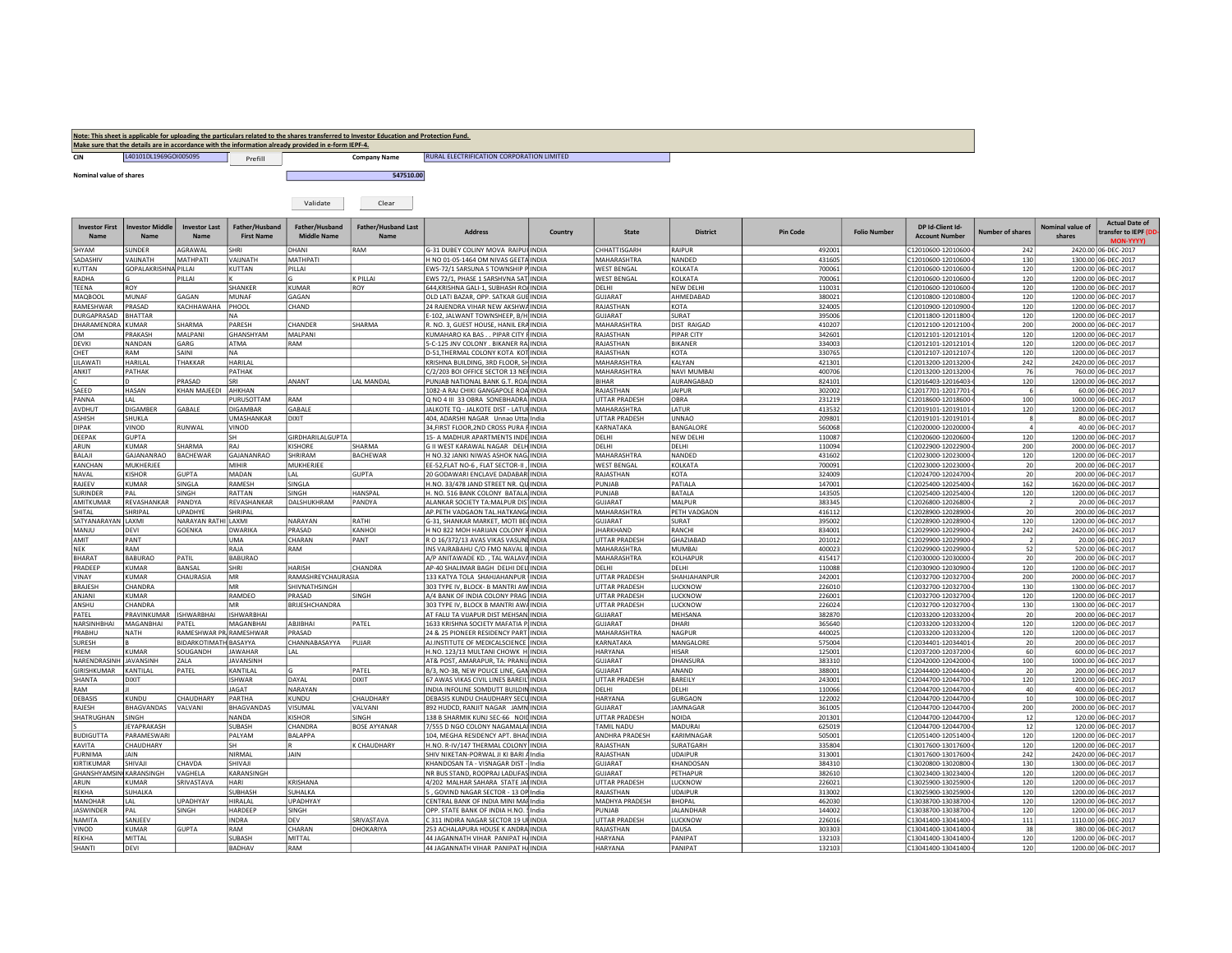| Note: This sheet is applicable for uploading the particulars related to the shares transferred to Investor Education and Protection Fund. |                                                                                                      |         |                     |                                           |  |  |  |  |  |  |  |
|-------------------------------------------------------------------------------------------------------------------------------------------|------------------------------------------------------------------------------------------------------|---------|---------------------|-------------------------------------------|--|--|--|--|--|--|--|
|                                                                                                                                           | Make sure that the details are in accordance with the information already provided in e-form IEPF-4. |         |                     |                                           |  |  |  |  |  |  |  |
|                                                                                                                                           | L40101DL1969GOI005095                                                                                | Prefill | <b>Company Name</b> | RURAL ELECTRIFICATION CORPORATION LIMITED |  |  |  |  |  |  |  |

nominal value of shares 547510.00

|--|--|

| <b>Investor First</b><br><b>Name</b> | <b>Investor Middle</b><br><b>Name</b> | <b>Investor Last</b><br><b>Name</b> | Father/Husband<br><b>First Name</b> | Father/Husband<br><b>Middle Name</b> | <b>Father/Husband Last</b><br><b>Name</b> | <b>Address</b>                                                              | Country      | <b>State</b>                        | <b>District</b>             | <b>Pin Code</b>  | <b>Folio Number</b> | DP Id-Client Id-<br><b>Account Number</b>  | <b>Number of shares</b> | Nominal value of<br>shares | <b>Actual Date of</b><br>transfer to IEPF (D<br>MON-YYYY) |
|--------------------------------------|---------------------------------------|-------------------------------------|-------------------------------------|--------------------------------------|-------------------------------------------|-----------------------------------------------------------------------------|--------------|-------------------------------------|-----------------------------|------------------|---------------------|--------------------------------------------|-------------------------|----------------------------|-----------------------------------------------------------|
| SHYAM                                | SUNDER                                | AGRAWAL                             | SHRI                                | DHANI                                | RAM                                       | G-31 DUBEY COLINY MOVA RAIPUI INDIA                                         |              | CHHATTISGARH                        | RAIPUR                      | 492001           |                     | C12010600-12010600-                        | 242                     |                            | 2420.00 06-DEC-2017                                       |
| SADASHIV                             | <b>HTANLIAV</b>                       | MATHPATI                            | VAIJNATH                            | MATHPATI                             |                                           | H NO 01-05-1464 OM NIVAS GEETA INDIA                                        |              | MAHARASHTRA                         | NANDED                      | 431605           |                     | C12010600-12010600-                        | 130                     |                            | 1300.00 06-DEC-2017                                       |
| <b>KUTTAN</b>                        | GOPALAKRISHNA PILLAI                  |                                     | KUTTAN                              | PILLAI                               |                                           | EWS-72/1 SARSUNA S TOWNSHIP P                                               | <b>INDIA</b> | <b>WEST BENGAL</b>                  | KOLKATA                     | 700061           |                     | C12010600-12010600-                        | 120                     |                            | 1200.00 06-DEC-2017                                       |
| RADHA                                |                                       | PILLAI                              |                                     |                                      | K PILLAI                                  | EWS 72/1, PHASE 1 SARSHVNA SAT                                              | <b>INDIA</b> | <b>WEST BENGAL</b>                  | KOLKATA                     | 700061           |                     | C12010600-12010600-                        | 120                     |                            | 1200.00 06-DEC-2017                                       |
| TEENA                                | ROY                                   |                                     | SHANKER                             | <b>KUMAR</b>                         | ROY                                       | 644, KRISHNA GALI-1, SUBHASH RO/ INDIA                                      |              | DELHI                               | <b>NEW DELHI</b>            | 110031           |                     | C12010600-12010600-                        | 120                     |                            | 1200.00 06-DEC-2017                                       |
| MAQBOOL                              | MUNAF                                 | GAGAN                               | <b>MUNAF</b>                        | GAGAN                                |                                           | OLD LATI BAZAR, OPP. SATKAR GUE INDIA                                       |              | <b>GUJARAT</b>                      | AHMEDABAD                   | 380021           |                     | C12010800-12010800-                        | 120                     |                            | 1200.00 06-DEC-2017                                       |
| RAMESHWAR                            | PRASAD                                | KACHHAWAHA                          | PHOOL                               | CHAND                                |                                           | 24 RAJENDRA VIHAR NEW AKSHWA INDIA                                          |              | RAJASTHAN                           | KOTA                        | 324005           |                     | C12010900-12010900-                        | 120                     |                            | 1200.00 06-DEC-2017                                       |
| DURGAPRASAD                          | <b>BHATTAR</b>                        |                                     | <b>NA</b>                           |                                      |                                           | E-102, JALWANT TOWNSHEEP, B/H INDIA                                         |              | GUJARAT                             | SURAT                       | 395006           |                     | C12011800-12011800-                        | 120                     |                            | 1200.00 06-DEC-2017                                       |
| DHARAMENDRA KUMAR                    |                                       | SHARMA                              | PARESH                              | CHANDER                              | SHARMA                                    | R. NO. 3, GUEST HOUSE, HANIL ERA INDIA                                      |              | MAHARASHTRA                         | <b>DIST RAIGAD</b>          | 410207           |                     | C12012100-12012100-                        | 200                     |                            | 2000.00 06-DEC-2017                                       |
| OM                                   | PRAKASH                               | MALPANI                             | GHANSHYAM                           | MALPANI                              |                                           | KUMAHARO KA BAS PIPAR CITY FINDIA                                           |              | RAJASTHAN                           | <b>PIPAR CITY</b>           | 342601           |                     | C12012101-12012101-                        | 120                     |                            | 1200.00 06-DEC-2017                                       |
| <b>DEVKI</b>                         | NANDAN                                | GARG                                | ATMA                                | RAM                                  |                                           | 5-C-125 JNV COLONY, BIKANER RAINDIA                                         |              | RAJASTHAN                           | <b>BIKANER</b>              | 334003           |                     | C12012101-12012101-                        | 120                     |                            | 1200.00 06-DEC-2017                                       |
| CHET                                 | RAM                                   | SAINI                               | <b>NA</b>                           |                                      |                                           | D-51, THERMAL COLONY KOTA KOT INDIA                                         |              | RAJASTHAN                           | KOTA                        | 330765           |                     | C12012107-12012107-                        | 120                     |                            | 1200.00 06-DEC-2017                                       |
| LILAWATI<br>ANKIT                    | HARILAL<br>PATHAK                     | THAKKAR                             | <b>HARILAL</b><br>PATHAK            |                                      |                                           | KRISHNA BUILDING, 3RD FLOOR, SH                                             | <b>INDIA</b> | MAHARASHTRA<br>MAHARASHTRA          | KALYAN<br>NAVI MUMBAI       | 421301<br>400706 |                     | C12013200-12013200-                        | 242<br>76               |                            | 2420.00 06-DEC-2017                                       |
|                                      | D                                     |                                     |                                     |                                      |                                           | C/2/203 BOI OFFICE SECTOR 13 NEI INDIA                                      |              | <b>BIHAR</b>                        |                             |                  |                     | C12013200-12013200-                        | 120                     |                            | 760.00 06-DEC-2017                                        |
| SAEED                                | HASAN                                 | PRASAD<br>KHAN MAJEEDI              | SRI<br>AHKHAN                       | ANANT                                | LAL MANDAL                                | PUNJAB NATIONAL BANK G.T. ROA INDIA<br>1082-A RAJ CHIKI GANGAPOLE ROA INDIA |              | RAJASTHAN                           | AURANGABAD<br><b>JAIPUR</b> | 824101<br>302002 |                     | C12016403-12016403-<br>C12017701-12017701- |                         |                            | 1200.00 06-DEC-2017<br>60.00 06-DEC-2017                  |
| PANNA                                | LAL                                   |                                     | PURUSOTTAM                          | RAM                                  |                                           | Q NO 4 III 33 OBRA SONEBHADRA INDIA                                         |              | UTTAR PRADESH                       | OBRA                        | 231219           |                     | C12018600-12018600-                        | 100                     |                            | 1000.00 06-DEC-2017                                       |
| AVDHUT                               | <b>DIGAMBER</b>                       | GABALE                              | <b>DIGAMBAR</b>                     | GABALE                               |                                           | JALKOTE TO - JALKOTE DIST - LATUI INDIA                                     |              | MAHARASHTRA                         | LATUR                       | 413532           |                     | C12019101-12019101-                        | 120                     |                            | 1200.00 06-DEC-2017                                       |
| <b>ASHISH</b>                        | SHUKLA                                |                                     | <b>UMASHANKAR</b>                   | <b>DIXIT</b>                         |                                           | 404, ADARSHI NAGAR Unnao Utta India                                         |              | UTTAR PRADESH                       | UNNAO                       | 209801           |                     | C12019101-12019101-                        |                         |                            | 80.00 06-DEC-2017                                         |
| <b>DIPAK</b>                         | VINOD                                 | RUNWAL                              | VINOD                               |                                      |                                           | 34, FIRST FLOOR, 2ND CROSS PURA FINDIA                                      |              | KARNATAKA                           | BANGALORE                   | 560068           |                     | C12020000-12020000-                        |                         |                            | 40.00 06-DEC-2017                                         |
| DEEPAK                               | GUPTA                                 |                                     | sн                                  | GIRDHARILALGUPTA                     |                                           | 15- A MADHUR APARTMENTS INDE INDIA                                          |              | DELHI                               | NEW DELHI                   | 110087           |                     | C12020600-12020600-                        | 120                     |                            | 1200.00 06-DEC-2017                                       |
| ARUN                                 | KUMAR                                 | SHARMA                              | RAJ                                 | <b>KISHORE</b>                       | SHARMA                                    | G II WEST KARAWAL NAGAR DELH INDIA                                          |              | DELHI                               | DELHI                       | 110094           |                     | C12022900-12022900-                        | 200                     |                            | 2000.00 06-DEC-2017                                       |
| BALAJI                               | GAJANANRAO                            | <b>BACHEWAR</b>                     | GAJANANRAO                          | SHRIRAM                              | <b>BACHEWAR</b>                           | H NO.32 JANKI NIWAS ASHOK NAG. INDIA                                        |              | <b>MAHARASHTRA</b>                  | NANDED                      | 431602           |                     | C12023000-12023000-                        | 120                     |                            | 1200.00 06-DEC-2017                                       |
| KANCHAN                              | MUKHERJEE                             |                                     | MIHIR                               | MUKHERJEE                            |                                           | EE-52, FLAT NO-6, FLAT SECTOR-II                                            | <b>INDIA</b> | <b>WEST BENGAL</b>                  | KOLKATA                     | 700091           |                     | C12023000-12023000-                        | 20                      |                            | 200.00 06-DEC-2017                                        |
| NAVAL                                | KISHOR                                | <b>GUPTA</b>                        | MADAN                               | <b>IAI</b>                           | <b>GUPTA</b>                              | 20 GODAWARI ENCLAVE DADABAR INDIA                                           |              | RAJASTHAN                           | KOTA                        | 324009           |                     | C12024700-12024700-                        | 20                      |                            | 200.00 06-DEC-2017                                        |
| RAJEEV                               | KUMAR                                 | SINGLA                              | <b>RAMESH</b>                       | SINGLA                               |                                           | H.NO. 33/478 JAND STREET NR. QU INDIA                                       |              | PUNJAB                              | PATIALA                     | 147001           |                     | C12025400-12025400-                        | 162                     |                            | 1620.00 06-DEC-2017                                       |
| <b>SURINDER</b>                      | PAL                                   | SINGH                               | RATTAN                              | SINGH                                | HANSPAL                                   | H. NO. 516 BANK COLONY BATALA INDIA                                         |              | PUNJAB                              | <b>BATALA</b>               | 143505           |                     | C12025400-12025400-                        | 120                     |                            | 1200.00 06-DEC-2017                                       |
| AMITKUMAR                            | REVASHANKAR                           | PANDYA                              | REVASHANKAR                         | DALSHUKHRAM                          | PANDYA                                    | ALANKAR SOCIETY TA: MALPUR DIS' INDIA                                       |              | GUJARAT                             | MALPUR                      | 383345           |                     | C12026800-12026800-                        |                         |                            | 20.00 06-DEC-2017                                         |
| SHITAL                               | SHRIPAL                               | <b>JPADHYE</b>                      | SHRIPAL                             |                                      |                                           | AP.PETH VADGAON TAL.HATKANG/INDIA                                           |              | MAHARASHTRA                         | PETH VADGAON                | 416112           |                     | C12028900-12028900-                        | 20                      |                            | 200.00 06-DEC-2017                                        |
| SATYANARAYAN                         | LAXMI                                 | NARAYAN RATHI LAXMI                 |                                     | NARAYAN                              | RATHI                                     | G-31, SHANKAR MARKET, MOTI BECINDIA                                         |              | <b>GUJARAT</b>                      | SURAT                       | 395002           |                     | C12028900-12028900-                        | 120                     |                            | 1200.00 06-DEC-2017                                       |
| MANJU                                | DEVI                                  | <b>GOENKA</b>                       | <b>DWARIKA</b>                      | PRASAD                               | KANHOI                                    | H NO 822 MOH HARIJAN COLONY F INDIA                                         |              | <b>JHARKHAND</b>                    | RANCHI                      | 834001           |                     | C12029900-12029900-                        | 242                     |                            | 2420.00 06-DEC-2017                                       |
| TIMA<br>NEK                          | PANT<br>RAM                           |                                     | <b>UMA</b><br>RAJA                  | CHARAN<br>RAM                        | PANT                                      | R O 16/372/13 AVAS VIKAS VASUNI INDIA                                       |              | <b>JTTAR PRADESH</b><br>MAHARASHTRA | GHAZIABAD<br>MUMBAI         | 201012<br>400023 |                     | C12029900-12029900-                        | 52                      |                            | 20.00 06-DEC-2017                                         |
| <b>BHARAT</b>                        | BABURAO                               | PATIL                               | <b>BABURAO</b>                      |                                      |                                           | INS VAJRABAHU C/O FMO NAVAL B INDIA<br>A/P ANITAWADE KD., TAL WALAV/ INDIA  |              | MAHARASHTRA                         | KOLHAPUR                    | 415417           |                     | C12029900-12029900-<br>C12030000-12030000- | 20                      |                            | 520.00 06-DEC-2017<br>200.00 06-DEC-2017                  |
| PRADEEP                              | KUMAR                                 | BANSAL                              | SHRI                                | <b>HARISH</b>                        | CHANDRA                                   | AP-40 SHALIMAR BAGH DELHI DEL INDIA                                         |              | DEI HI                              | <b>DFIHI</b>                | 110088           |                     | C12030900-12030900-                        | 120                     |                            | 1200.00 06-DEC-2017                                       |
| VINAY                                | KUMAR                                 | CHAURASIA                           | MR                                  | RAMASHREYCHAURASIA                   |                                           | 133 KATYA TOLA SHAHJAHANPUR INDIA                                           |              | UTTAR PRADESH                       | SHAHJAHANPUR                | 242001           |                     | C12032700-12032700-                        | 200                     |                            | 2000.00 06-DEC-2017                                       |
| <b>BRAJESH</b>                       | CHANDRA                               |                                     | MR                                  | SHIVNATHSINGH                        |                                           | 303 TYPE IV. BLOCK- B MANTRI AW INDIA                                       |              | <b>JTTAR PRADESH</b>                | LUCKNOW                     | 226010           |                     | C12032700-12032700-                        | 130                     |                            | 1300.00 06-DEC-2017                                       |
| ANJANI                               | KUMAR                                 |                                     | RAMDEO                              | PRASAD                               | SINGH                                     | A/4 BANK OF INDIA COLONY PRAG INDIA                                         |              | UTTAR PRADESH                       | LUCKNOW                     | 226001           |                     | C12032700-12032700-                        | 120                     |                            | 1200.00 06-DEC-2017                                       |
| ANSHU                                | CHANDRA                               |                                     | MR                                  | BRIJESHCHANDRA                       |                                           | 303 TYPE IV, BLOCK B MANTRI AW/ INDIA                                       |              | <b>UTTAR PRADESH</b>                | LUCKNOW                     | 226024           |                     | C12032700-12032700-                        | 130                     |                            | 1300.00 06-DEC-2017                                       |
| PATEL                                | PRAVINKUMAR                           | <b>ISHWARBHAI</b>                   | <b>ISHWARBHAI</b>                   |                                      |                                           | AT FALU TA VIJAPUR DIST MEHSAN INDIA                                        |              | <b>GUJARAT</b>                      | MEHSANA                     | 382870           |                     | C12033200-12033200-                        | 20                      |                            | 200.00 06-DEC-2017                                        |
| NARSINHBHAI                          | MAGANBHAI                             | PATEL                               | MAGANBHAI                           | ABJIBHAI                             | PATEL                                     | 1633 KRISHNA SOCIETY MAFATIA P.                                             | <b>INDIA</b> | GUJARAT                             | DHARI                       | 365640           |                     | C12033200-12033200-                        | 120                     |                            | 1200.00 06-DEC-2017                                       |
| PRABHU                               | NATH                                  | RAMESHWAR PR RAMESHWAR              |                                     | PRASAD                               |                                           | 24 & 25 PIONEER RESIDENCY PART                                              | <b>INDIA</b> | <b>MAHARASHTRA</b>                  | NAGPUR                      | 440025           |                     | C12033200-12033200-                        | 120                     |                            | 1200.00 06-DEC-2017                                       |
| SURESH                               |                                       | <b>BIDARKOTIMATH BASAYYA</b>        |                                     | CHANNABASAYYA                        | PUJAR                                     | AJ.INSTITUTE OF MEDICALSCIENCE INDIA                                        |              | KARNATAKA                           | MANGALORE                   | 575004           |                     | C12034401-12034401-                        | 20                      |                            | 200.00 06-DEC-2017                                        |
| PREM                                 | KUMAR                                 | SOUGANDH                            | <b>JAWAHAR</b>                      | I AI                                 |                                           | H.NO. 123/13 MULTANI CHOWK HINDIA                                           |              | HARYANA                             | <b>HISAR</b>                | 125001           |                     | C12037200-12037200-                        | 60                      |                            | 600.00 06-DEC-2017                                        |
| NARENDRASINH                         | JAVANSINH                             | ZALA                                | <b>JAVANSINH</b>                    |                                      |                                           | AT& POST, AMARAPUR, TA: PRANIJ INDIA                                        |              | GUJARAT                             | DHANSURA                    | 383310           |                     | C12042000-12042000                         | 100                     |                            | 1000.00 06-DEC-2017                                       |
| GIRISHKUMAR                          | KANTILAL                              | PATEL                               | KANTILAI                            |                                      | PATEL                                     | B/3, NO-38, NEW POLICE LINE, GAN INDIA                                      |              | GUJARAT                             | ANAND                       | 388001           |                     | C12044400-12044400-                        | 20                      |                            | 200.00 06-DEC-2017                                        |
| SHANTA                               | <b>DIXIT</b>                          |                                     | <b>ISHWAR</b>                       | DAYAL                                | <b>DIXIT</b>                              | 67 AWAS VIKAS CIVIL LINES BAREIL INDIA                                      |              | UTTAR PRADESH                       | BAREILY                     | 243001           |                     | C12044700-12044700-                        | 120                     |                            | 1200.00 06-DEC-2017                                       |
| RAM                                  |                                       |                                     | JAGAT                               | NARAYAN                              |                                           | INDIA INFOLINE SOMDUTT BUILDIN INDIA                                        |              | DELHI                               | DELHI                       | 110066           |                     | C12044700-12044700-                        | 40                      |                            | 400.00 06-DEC-2017                                        |
| DEBASIS                              | KUNDU                                 | CHAUDHARY                           | PARTHA                              | KUNDU                                | CHAUDHARY                                 | DEBASIS KUNDU CHAUDHARY SECU INDIA                                          |              | HARYANA                             | <b>GURGAON</b>              | 122002<br>361005 |                     | C12044700-12044700-                        | 10<br>200               |                            | 100.00 06-DEC-2017                                        |
| RAJESH<br>SHATRUGHAN                 | BHAGVANDAS<br>SINGH                   | VALVANI                             | <b>BHAGVANDAS</b><br>NANDA          | VISUMAL<br><b>KISHOR</b>             | VALVANI<br>SINGH                          | 892 HUDCD, RANJIT NAGAR JAMN INDIA<br>138 B SHARMIK KUNJ SEC-66 NOIL        | <b>INDIA</b> | <b>GUJARAT</b><br>UTTAR PRADESH     | JAMNAGAR<br>NOIDA           | 201301           |                     | C12044700-12044700-<br>C12044700-12044700- | 12                      |                            | 2000.00 06-DEC-2017<br>120.00 06-DEC-2017                 |
|                                      | JEYAPRAKASH                           |                                     | SUBASH                              | CHANDRA                              | <b>BOSE AYYANAR</b>                       | 7/555 D NGO COLONY NAGAMALAI INDIA                                          |              | TAMIL NADU                          | MADURAI                     | 625019           |                     | C12044700-12044700-                        | 12                      |                            | 120.00 06-DEC-2017                                        |
| <b>BUDIGUTTA</b>                     | PARAMESWARI                           |                                     | PALYAM                              | <b>BALAPPA</b>                       |                                           | 104, MEGHA RESIDENCY APT. BHAC INDIA                                        |              | ANDHRA PRADESH                      | KARIMNAGAR                  | 505001           |                     | C12051400-12051400-                        | 120                     |                            | 1200.00 06-DEC-2017                                       |
| KAVITA                               | CHAUDHARY                             |                                     | SH                                  |                                      | K CHAUDHARY                               | H.NO. R-IV/147 THERMAL COLONY INDIA                                         |              | RAJASTHAN                           | SURATGARH                   | 335804           |                     | C13017600-13017600-                        | 120                     |                            | 1200.00 06-DEC-2017                                       |
| PURNIMA                              | JAIN                                  |                                     | NIRMAL                              | JAIN                                 |                                           | SHIV NIKETAN-PORWAL JI KI BARI / India                                      |              | RAJASTHAN                           | UDAIPUR                     | 313001           |                     | C13017600-13017600-                        | 242                     |                            | 2420.00 06-DEC-2017                                       |
| <b>KIRTIKUMAR</b>                    | SHIVAJI                               | CHAVDA                              | SHIVAJI                             |                                      |                                           | KHANDOSAN TA - VISNAGAR DIST - India                                        |              | GUJARAT                             | KHANDOSAN                   | 384310           |                     | C13020800-13020800-                        | 130                     |                            | 1300.00 06-DEC-2017                                       |
| GHANSHYAMSIN KARANSINGH              |                                       | VAGHELA                             | KARANSINGH                          |                                      |                                           | NR BUS STAND, ROOPRAJ LADLIFAS INDIA                                        |              | <b>GUJARAT</b>                      | PETHAPUR                    | 382610           |                     | C13023400-13023400-                        | 120                     |                            | 1200.00 06-DEC-2017                                       |
| ARUN                                 | KUMAR                                 | SRIVASTAVA                          | HARI                                | KRISHANA                             |                                           | 4/202 MALHAR SAHARA STATE JAI INDIA                                         |              | UTTAR PRADESH                       | LUCKNOW                     | 226021           |                     | C13025900-13025900-                        | 120                     |                            | 1200.00 06-DEC-2017                                       |
| REKHA                                | SUHALKA                               |                                     | <b>SUBHASH</b>                      | SUHALKA                              |                                           | 5, GOVIND NAGAR SECTOR - 13 OP India                                        |              | RAJASTHAN                           | <b>UDAIPUR</b>              | 313002           |                     | C13025900-13025900-                        | 120                     |                            | 1200.00 06-DEC-2017                                       |
| MANOHAR                              | LAL                                   | UPADHYAY                            | <b>HIRALAL</b>                      | UPADHYAY                             |                                           | CENTRAL BANK OF INDIA MINI MAI India                                        |              | <b>MADHYA PRADESH</b>               | <b>BHOPAL</b>               | 462030           |                     | C13038700-13038700-                        | 120                     |                            | 1200.00 06-DEC-2017                                       |
| <b>JASWINDER</b>                     | PAL                                   | SINGH                               | HARDEEP                             | SINGH                                |                                           | OPP. STATE BANK OF INDIA H.NO. India                                        |              | PUNJAB                              | <b>JALANDHAR</b>            | 144002           |                     | C13038700-13038700-                        | 120                     |                            | 1200.00 06-DEC-2017                                       |
| NAMITA                               | SANJEEV                               |                                     | <b>INDRA</b>                        | DEV                                  | SRIVASTAVA                                | C 311 INDIRA NAGAR SECTOR 19 UI INDIA                                       |              | UTTAR PRADESH                       | LUCKNOW                     | 226016           |                     | C13041400-13041400-                        | 111                     |                            | 1110.00 06-DEC-2017                                       |
| VINOD                                | KUMAR                                 | <b>GUPTA</b>                        | RAM                                 | CHARAN                               | DHOKARIYA                                 | 253 ACHALAPURA HOUSE K ANDRA INDIA                                          |              | RAJASTHAN                           | DAUSA                       | 303303           |                     | C13041400-13041400-                        | 38                      |                            | 380.00 06-DEC-2017                                        |
| <b>REKHA</b>                         | MITTAL                                |                                     | SUBASH                              | MITTAL                               |                                           | 44 JAGANNATH VIHAR PANIPAT HAINDIA                                          |              | HARYANA                             | PANIPAT                     | 132103           |                     | C13041400-13041400-                        | 120                     |                            | 1200.00 06-DEC-2017                                       |
| SHANTI                               | DEVI                                  |                                     | <b>BADHAV</b>                       | RAM                                  |                                           | 44 JAGANNATH VIHAR PANIPAT HAINDIA                                          |              | HARYANA                             | PANIPAT                     | 132103           |                     | C13041400-13041400-                        | 120                     |                            | 1200.00 06-DEC-2017                                       |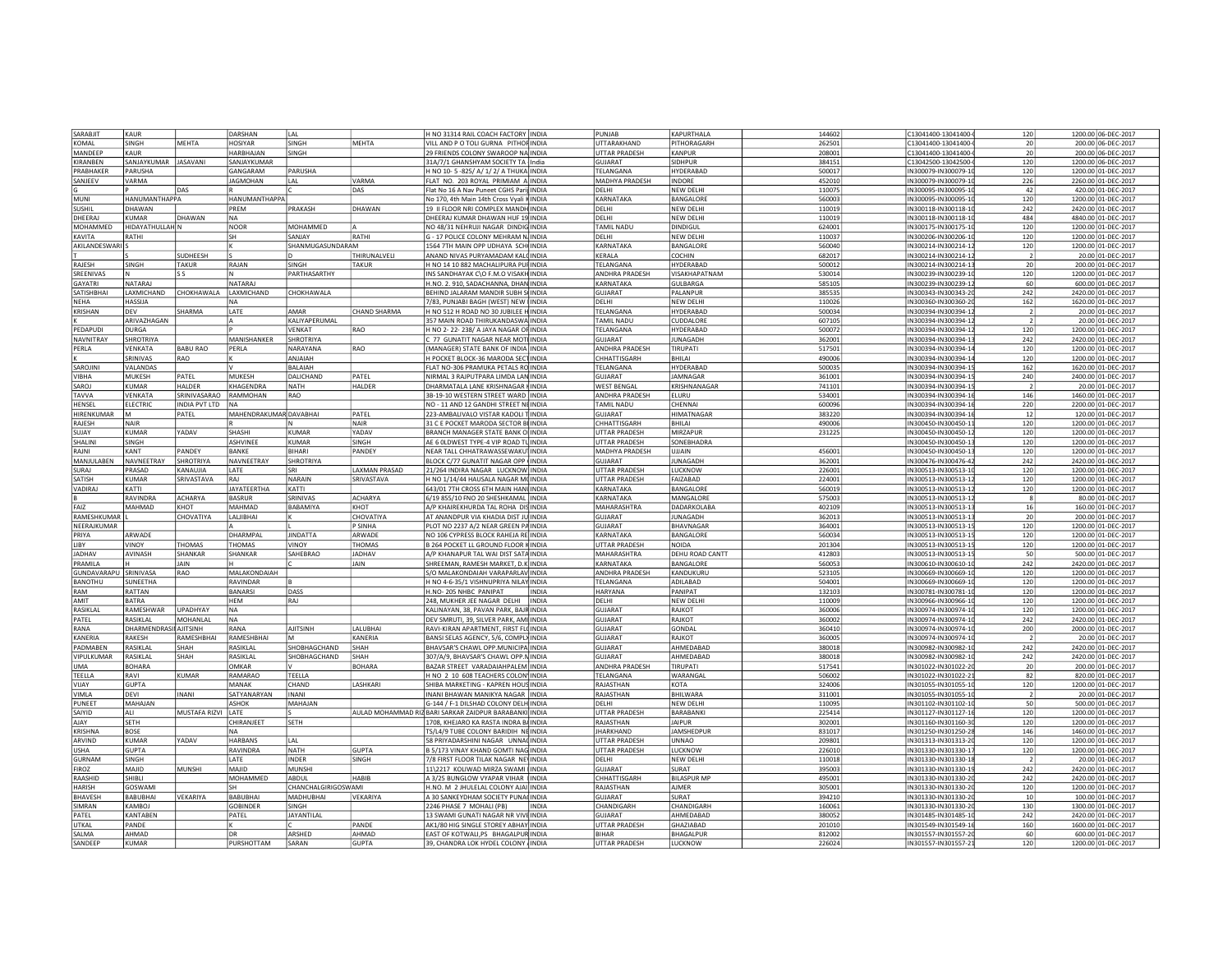| SARABJIT              | KAUR                         |                       | DARSHAN                 | LAL                       |                              | H NO 31314 RAIL COACH FACTORY INDIA                                         | PUNJAB                               | KAPURTHALA           | 144602           | C13041400-13041400-<br>120                               | 1200.00 06-DEC-2017                       |
|-----------------------|------------------------------|-----------------------|-------------------------|---------------------------|------------------------------|-----------------------------------------------------------------------------|--------------------------------------|----------------------|------------------|----------------------------------------------------------|-------------------------------------------|
| KOMAI                 | <b>SINGH</b>                 | MFHTA                 | <b>HOSIYAR</b>          | SINGH                     | MFHTA                        | VILL AND P O TOLI GURNA PITHOF INDIA                                        | UTTARAKHAND                          | PITHORAGARH          | 262501           | C13041400-13041400-<br>20                                | 200.00 06-DEC-2017                        |
| MANDEEP               | KAUR                         |                       | HARBHAIAN               | SINGH                     |                              | 29 FRIENDS COLONY SWAROOP NA INDIA                                          | <b>UTTAR PRADESH</b>                 | KANPUR               | 208001           | C13041400-13041400-<br>20                                | 200.00 06-DEC-2017                        |
| KIRANBEN              | SANJAYKUMAR JASAVANI         |                       | SANJAYKUMAR             |                           |                              | 31A/7/1 GHANSHYAM SOCIETY TA India                                          | GUJARAT                              | SIDHPUR              | 384151           | C13042500-13042500-<br>120                               | 1200.00 06-DEC-2017                       |
|                       |                              |                       |                         |                           |                              |                                                                             |                                      |                      |                  |                                                          |                                           |
| PRABHAKER             | PARUSHA                      |                       | GANGARAM                | PARUSHA                   |                              | H NO 10-5-825/ A/ 1/ 2/ A THUKA INDIA                                       | TELANGANA                            | HYDERABAD            | 500017           | IN300079-IN300079-1<br>120                               | 1200.00 01-DEC-2017                       |
| SANJEEV               | VARMA                        |                       | <b>JAGMOHAN</b>         | I AI                      | /ARMA                        | FLAT NO. 203 ROYAL PRIMIAM A INDIA                                          | MADHYA PRADESH                       | INDORE               | 452010           | 226<br>IN300079-IN300079-1                               | 2260.00 01-DEC-2017                       |
|                       |                              | DAS                   |                         |                           | DAS                          | Flat No 16 A Nav Puneet CGHS Parij INDIA                                    | DELHI                                | <b>NEW DELHI</b>     | 110075           | 42<br>IN300095-IN300095-1                                | 420.00 01-DEC-2017                        |
| MUNI                  | HANUMANTHAPPA                |                       | HANUMANTHAPPA           |                           |                              | No 170, 4th Main 14th Cross Vyali k INDIA                                   | KARNATAKA                            | BANGALORE            | 560003           | IN300095-IN300095-1<br>120                               | 1200.00 01-DEC-2017                       |
| SUSHIL                | DHAWAN                       |                       | PREM                    | PRAKASH                   | DHAWAN                       | 19 II FLOOR NRI COMPLEX MANDH INDIA                                         | DELHI                                | <b>NEW DELHI</b>     | 110019           | 242<br>IN300118-IN300118-1                               | 2420.00 01-DEC-2017                       |
| DHFFRAI               | KIIMAR                       | DHAWAN                | <b>NA</b>               |                           |                              | DHEERAJ KUMAR DHAWAN HUF 19 INDIA                                           | DELHI                                | NEW DELHI            | 110019           | 484<br>IN300118-IN300118-1                               | 4840.00 01-DEC-2017                       |
| MOHAMMED              | HIDAYATHULLAH N              |                       | NOOR                    | MOHAMMED                  |                              | NO 48/31 NEHRUJI NAGAR DINDIG INDIA                                         | <b>TAMIL NADU</b>                    | <b>DINDIGUI</b>      | 624001           | 120<br>IN300175-IN300175-1                               | 1200.00 01-DEC-2017                       |
| KAVITA                | RATHI                        |                       | İsн                     | SANIAY                    | RATHI                        | G - 17 POLICE COLONY MEHRAM N. INDIA                                        | DELHI                                | <b>NFW DFI HI</b>    | 110037           | 120<br>IN300206-IN300206-1                               | 1200.00 01-DEC-2017                       |
|                       |                              |                       |                         |                           |                              |                                                                             |                                      |                      |                  |                                                          |                                           |
| AKILANDESWARIS        |                              |                       |                         | SHANMUGASUNDARAM          |                              | 1564 7TH MAIN OPP UDHAYA SCHI INDIA                                         | KARNATAKA                            | BANGALORE            | 560040           | N300214-IN300214-1<br>120                                | 1200.00 01-DEC-2017                       |
|                       |                              | SUDHEESH              |                         |                           | <b>HIRUNALVELI</b>           | ANAND NIVAS PURYAMADAM KAL(INDIA                                            | KERALA                               | COCHIN               | 682017           | N300214-IN300214-1                                       | 20.00 01-DEC-2017                         |
| RAJESH                | SINGH                        | <b>TAKUR</b>          | RAJAN                   | SINGH                     | <b>TAKUR</b>                 | H NO 14 10 882 MACHALIPURA PUI INDIA                                        | TELANGANA                            | HYDERABAD            | 500012           | IN300214-IN300214-1<br>20                                | 200.00 01-DEC-2017                        |
| SREENIVAS             | N                            | ls s                  | ١N                      | PARTHASARTHY              |                              | INS SANDHAYAK C\O F.M.O VISAKH INDIA                                        | ANDHRA PRADESH                       | VISAKHAPATNAM        | 530014           | IN300239-IN300239-1<br>120                               | 1200.00 01-DEC-2017                       |
| <b>GAYATRI</b>        | NATARAJ                      |                       | NATARAJ                 |                           |                              | H.NO. 2. 910, SADACHANNA, DHAN INDIA                                        | KARNATAKA                            | GULBARGA             | 585105           | IN300239-IN300239-1<br>60                                | 600.00 01-DEC-2017                        |
| SATISHBHA             | LAXMICHAND                   | CHOKHAWALA            | LAXMICHAND              | CHOKHAWALA                |                              | BEHIND JALARAM MANDIR SUBH SI INDIA                                         | <b>GUJARAT</b>                       | PALANPUF             | 385535           | 242<br>IN300343-IN300343-2                               | 2420.00 01-DEC-2017                       |
| <b>NEHA</b>           | <b>HASSIIA</b>               |                       |                         |                           |                              |                                                                             | DFI HI                               | <b>NEW DELHI</b>     | 110026           | 162<br>IN300360-IN300360-2                               | 1620.00 01-DEC-2017                       |
|                       |                              |                       | INA.                    |                           |                              | 7/83, PUNJABI BAGH (WEST) NEW  INDIA                                        |                                      |                      |                  |                                                          |                                           |
| <b>KRISHAN</b>        | <b>DFV</b>                   | SHARMA                | LATE                    | AMAR                      | <b>HAND SHARMA</b>           | H NO 512 H ROAD NO 30 JUBILEE HINDIA                                        | TELANGANA                            | HYDERABAD            | 500034           | N300394-IN300394-1                                       | 20.00 01-DEC-2017                         |
|                       | ARIVAZHAGAN                  |                       |                         | KALIYAPERUMAL             |                              | 357 MAIN ROAD THIRUKANDASWA INDIA                                           | TAMIL NADU                           | CUDDALORE            | 607105           | N300394-IN300394-1                                       | 20.00 01-DEC-2017                         |
| PEDAPUDI              | DURGA                        |                       |                         | /ENKAT                    | RAO                          | H NO 2-22-238/ A JAYA NAGAR OF INDIA                                        | TELANGANA                            | HYDERABAD            | 500072           | N300394-IN300394-1<br>120                                | 1200.00 01-DEC-2017                       |
| <b>NAVNITRAY</b>      | SHROTRIYA                    |                       | MANISHANKER             | SHROTRIYA                 |                              | C 77 GUNATIT NAGAR NEAR MOTI INDIA                                          | <b>GUJARAT</b>                       | <b>IUNAGADH</b>      | 362001           | N300394-IN300394-2<br>242                                | 2420.00 01-DEC-2017                       |
| PERLA                 | VENKATA                      | <b>BABU RAO</b>       | PERLA                   | NARAYANA                  | RAO                          | MANAGER) STATE BANK OF INDIA INDIA                                          | ANDHRA PRADESH                       | TIRUPATI             | 517501           | IN300394-IN300394-1<br>120                               | 1200.00 01-DEC-2017                       |
|                       | SRINIVAS                     | RAO                   |                         | ANJAIAH                   |                              | H POCKET BLOCK-36 MARODA SECTINDIA                                          | CHHATTISGARH                         | BHILAI               | 490006           | IN300394-IN300394-1<br>120                               | 1200.00 01-DEC-2017                       |
| SAROJIN               | VAI ANDAS                    |                       |                         | <b>BAI AIAH</b>           |                              | FLAT NO-306 PRAMUKA PETALS RO INDIA                                         | <b>TELANGANA</b>                     | <b>HYDERABAC</b>     | 500035           | 162<br>IN300394-IN300394-3                               |                                           |
|                       |                              |                       |                         |                           |                              |                                                                             |                                      |                      |                  |                                                          | 1620.00 01-DEC-2017                       |
| VIBHA                 | MUKESH                       | PATEL                 | MUKESH                  | DALICHAND                 | PATEL                        | NIRMAL 3 RAJPUTPARA LIMDA LAN INDIA                                         | GUIARAT                              | <b>IAMNAGAR</b>      | 361001           | 240<br>IN300394-IN300394-1                               | 2400.00 01-DEC-2017                       |
| SAROJ                 | <b>KUMAR</b>                 | <b>HAI DFR</b>        | KHAGFNDRA               | <b>NATH</b>               | <b>HALDER</b>                | DHARMATALA LANE KRISHNAGAR IINDIA                                           | <b>WEST BENGAL</b>                   | KRISHNANAGAR         | 741101           | IN300394-IN300394-1                                      | 20.00 01-DEC-2017                         |
| TAVVA                 | VENKATA                      | SRINIVASARAO RAMMOHAN |                         | RAO                       |                              | 3B-19-10 WESTERN STREET WARD INDIA                                          | ANDHRA PRADESH                       | <b>FLURU</b>         | 534001           | IN300394-IN300394-1<br>146                               | 1460.00 01-DEC-2017                       |
| HENSEL                | ELECTRIC                     | INDIA PVT LTD NA      |                         |                           |                              | NO - 11 AND 12 GANDHI STREET NI INDIA                                       | <b>TAMIL NADL</b>                    | CHENNA               | 600096           | IN300394-IN300394-1<br>220                               | 2200.00 01-DEC-2017                       |
| HIRENKUMAR            | lм                           | PATEL                 | MAHENDRAKUMAR DAVABHAI  |                           | PATEL                        | 223-AMBALIVALO VISTAR KADOLI TINDIA                                         | <b>GUJARAT</b>                       | <b>HIMATNAGAR</b>    | 383220           | IN300394-IN300394-1<br>12                                | 120.00 01-DEC-2017                        |
| RAJESH                | NAIR                         |                       | l R                     | N                         | NAIR                         | 31 C E POCKET MARODA SECTOR BI INDIA                                        | CHHATTISGARH                         | BHILAI               | 490006           | IN300450-IN300450-1<br>120                               | 1200.00 01-DEC-2017                       |
| SUJAY                 | <b>KUMAR</b>                 |                       | SHASHI                  | <b>KUMAR</b>              | YADAV                        |                                                                             |                                      | MIRZAPUF             |                  |                                                          |                                           |
|                       |                              | YADAV                 |                         |                           |                              | BRANCH MANAGER STATE BANK O INDIA                                           | UTTAR PRADESH                        |                      | 231225           | IN300450-IN300450-1<br>120                               | 1200.00 01-DEC-2017                       |
| SHALINI               | SINGH                        |                       | ASHVINEE                | KUMAR                     | SINGH                        | AE 6 OLDWEST TYPE-4 VIP ROAD TUINDIA                                        | <b>UTTAR PRADESH</b>                 | SONEBHADRA           |                  | 120<br>IN300450-IN300450-1                               | 1200.00 01-DEC-2017                       |
| RAJNI                 | KANT                         | PANDEY                | <b>BANKE</b>            | BIHARI                    | PANDEY                       | NEAR TALL CHHATRAWASSEWAKU   INDIA                                          | <b>MADHYA PRADESH</b>                | <b>UJJAIN</b>        | 456001           | 120<br>IN300450-IN300450-1                               | 1200.00 01-DEC-2017                       |
| MANJULABEN            | NAVNEETRAY                   | SHROTRIYA             | <b>NAVNEFTRAY</b>       | SHROTRIYA                 |                              | BLOCK C/77 GUNATIT NAGAR OPP INDIA                                          | GUJARAT                              | <b>IUNAGADH</b>      | 362001           | 242<br>IN300476-IN300476-4                               | 2420.00 01-DEC-2017                       |
| SURAJ                 | PRASAD                       | KANAUJIA              | LATE                    | SRI                       | AXMAN PRASAD                 | 21/264 INDIRA NAGAR LUCKNOW INDIA                                           | UTTAR PRADESH                        | LUCKNOW              | 226001           | IN300513-IN300513-1<br>120                               | 1200.00 01-DEC-2017                       |
| SATISH                | <b>KUMAR</b>                 | SRIVASTAVA            | RAI                     | NARAIN                    | <b>RIVASTAVA</b>             | H NO 1/14/44 HAUSALA NAGAR M(INDIA                                          | UTTAR PRADESH                        | FAIZABAD             | 224001           | N300513-IN300513-1<br>120                                | 1200.00 01-DEC-2017                       |
| VADIRA                | KATTI                        |                       | <b>JAYATEERTHA</b>      | KATTI                     |                              | 643/01 7TH CROSS 6TH MAIN HANI INDIA                                        | KARNATAKA                            | BANGALORE            | 560019           | 120<br>N300513-IN300513-1                                | 1200.00 01-DEC-2017                       |
|                       |                              |                       |                         |                           |                              |                                                                             |                                      |                      |                  | $\mathbf{R}$                                             |                                           |
|                       | <b>RAVINDRA</b>              | <b>ACHARYA</b>        | BASRUR                  | SRINIVAS                  | ACHARYA                      | 6/19 855/10 FNO 20 SHESHKAMAL INDIA                                         | KARNATAKA                            | MANGALORE            | 575003           | IN300513-IN300513-1                                      | 80.00 01-DEC-2017                         |
| FAI7                  | MAHMAD                       | KHOT                  | MAHMAD                  | BABAMIYA                  | KHOT                         | A/P KHAIREKHURDA TAL ROHA DIS INDIA                                         | MAHARASHTRA                          | DADARKOLABA          | 402109           | IN300513-IN300513-1<br>16                                | 160.00 01-DEC-2017                        |
|                       |                              | <b>CHOVATIYA</b>      | LALJIBHAI               |                           | CHOVATIYA                    | AT ANANDPUR VIA KHADIA DIST JU INDIA                                        | <b>GUJARAT</b>                       | <b>IUNAGADH</b>      | 362013           | 20<br>IN300513-IN300513-1                                | 200.00 01-DEC-2017                        |
| RAMESHKUMAR           |                              |                       |                         |                           |                              |                                                                             |                                      |                      |                  |                                                          |                                           |
| NEERAJKUMAR           |                              |                       |                         |                           | P SINHA                      | PLOT NO 2237 A/2 NEAR GREEN PA INDIA                                        | GUJARAT                              | <b>BHAVNAGAR</b>     | 364001           | 120<br>IN300513-IN300513-1                               |                                           |
| PRIYA                 | ARWADE                       |                       | DHARMPAI                | <b>IINDATTA</b>           | ARWADE                       |                                                                             | KARNATAKA                            | <b>BANGALORE</b>     | 560034           | 120<br>IN300513-IN300513-1                               | 1200.00 01-DEC-2017                       |
| <b>IIBY</b>           |                              |                       |                         |                           |                              | NO 106 CYPRESS BLOCK RAHEJA RE INDIA                                        |                                      | NOIDA                |                  |                                                          | 1200.00 01-DEC-2017                       |
|                       | VINOY                        | THOMAS                | <b>THOMAS</b>           | VINOY                     | <b>HOMAS</b>                 | <b>B 264 POCKET LL GROUND FLOOR K INDIA</b>                                 | UTTAR PRADESH                        |                      | 201304           | 120<br>IN300513-IN300513-1                               | 1200.00 01-DEC-2017                       |
| <b>JADHAV</b>         | AVINASH                      | SHANKAR               | SHANKAR                 | SAHEBRAO                  | ADHAV                        | A/P KHANAPUR TAL WAI DIST SATA INDIA                                        | MAHARASHTRA                          | DEHU ROAD CANTT      | 412803           | IN300513-IN300513-1<br>50                                | 500.00 01-DEC-2017                        |
| PRAMILA               |                              | <b>JAIN</b>           |                         |                           | <b>JAIN</b>                  | SHREEMAN, RAMESH MARKET, D.K INDIA                                          | KARNATAKA                            | BANGALORE            | 560053           | IN300610-IN300610-1<br>242                               | 2420.00 01-DEC-2017                       |
| GUNDAVARAPU SRINIVASA |                              | RAO                   | MALAKONDAIAH            |                           |                              | S/O MALAKONDAIAH VARAPARLAV INDIA                                           | ANDHRA PRADESH                       | KANDUKURU            | 523105           | 120<br>IN300669-IN300669-1                               | 1200.00 01-DEC-2017                       |
| BANOTHU               | SUNEETHA                     |                       | RAVINDAR                |                           |                              | H NO 4-6-35/1 VISHNUPRIYA NILAY INDIA                                       | TELANGANA                            | ADILABAD             | 504001           | IN300669-IN300669-1<br>120                               | 1200.00 01-DEC-2017                       |
| RAM                   | RATTAN                       |                       | BANARSI                 | DASS                      |                              | H.NO-205 NHBC PANIPAT<br><b>INDIA</b>                                       | <b>HARYANA</b>                       | PANIPAT              | 132103           | 120<br>IN300781-IN300781-1                               | 1200.00 01-DEC-2017                       |
| <b>AMIT</b>           | RATRA                        |                       | <b>HEM</b>              | RAJ                       |                              | 248, MUKHER JEE NAGAR DELHI<br><b>INDIA</b>                                 | DELHI                                | <b>NEW DELHI</b>     | 110009           | 120<br>IN300966-IN300966-1                               | 1200.00 01-DEC-2017                       |
| RASIKLAL              | <b>RAMFSHWAR</b>             | <b>UPADHYAY</b>       | INA.                    |                           |                              | KALINAYAN, 38, PAVAN PARK, BAJR INDIA                                       | GUIARAT                              | RAIKOT               | 360006           | IN300974-IN300974-1<br>120                               | 1200.00 01-DEC-2017                       |
| PATFI                 | <b>RASIKI AI</b>             | MOHANI AI             | I N A                   |                           |                              |                                                                             |                                      | RAIKOT               |                  | N300974-IN300974-1                                       |                                           |
|                       |                              |                       |                         |                           |                              | DEV SMRUTI, 39, SILVER PARK, AMI INDIA                                      | GUJARAT                              |                      | 360002           | 242                                                      | 2420.00 01-DEC-2017                       |
| RANA                  | DHARMENDRASII AJITSINH       |                       | RANA                    | <b>AJITSINH</b>           | <b>ALUBHAI</b>               | RAVI-KIRAN APARTMENT, FIRST FL(INDIA                                        | GUIARAT                              | GONDAL               | 360410           | N300974-IN300974-1<br>200                                | 2000.00 01-DEC-2017                       |
| KANFRIA               | RAKESH                       | RAMESHBHAI            | RAMESHBHA               |                           | <b>ANERIA</b>                | BANSI SELAS AGENCY, 5/6, COMPLY INDIA                                       | GUIARAT                              | RAIKOT               | 360005           | N300974-IN300974-1                                       | 20.00 01-DEC-2017                         |
| PADMABEN              | RASIKLAL                     | SHAH                  | <b>RASIKLAL</b>         | SHOBHAGCHAND              | SHAH                         | BHAVSAR'S CHAWL OPP.MUNICIPA INDIA                                          | <b>GUJARAT</b>                       | AHMEDABAD            | 380018           | 242<br>N300982-IN300982-3                                | 2420.00 01-DEC-2017                       |
| VIPULKUMAR            | RASIKLAL                     | SHAH                  | RASIKLAL                | SHOBHAGCHAND              | HAH                          | 307/A/9, BHAVSAR'S CHAWL OPP.N INDIA                                        | GUJARAT                              | AHMEDABAD            | 380018           | IN300982-IN300982-1<br>242                               | 2420.00 01-DEC-2017                       |
| <b>UMA</b>            | <b>BOHARA</b>                |                       | <b>OMKAR</b>            |                           | <b>BOHARA</b>                | BAZAR STREET VARADAIAHPALEM INDIA                                           | ANDHRA PRADESH                       | TIRUPATI             | 517541           | IN301022-IN301022-2<br>20                                | 200.00 01-DEC-2017                        |
| TEELLA                | RAVI                         | KUMAR                 | RAMARAO                 |                           |                              | H NO 2 10 608 TEACHERS COLON INDIA                                          | <b>TFI ANGANA</b>                    | WARANGAI             | 506002           | IN301022-IN301022-2<br>82                                | 820.00 01-DEC-2017                        |
| VIIAY                 | <b>GUPTA</b>                 |                       | MANAK                   | TEELLA<br>CHAND           | <b>LASHKARI</b>              | SHIBA MARKETING - KAPREN HOUS INDIA                                         | RAIASTHAN                            | KOTA                 | 324006           | 120                                                      | 1200.00 01-DEC-2017                       |
|                       | DFVI                         | <b>INANI</b>          |                         | <b>INANI</b>              |                              | INANI BHAWAN MANIKYA NAGAR INDIA                                            |                                      | <b>BHII WARA</b>     | 311001           | IN301055-IN301055-1<br>IN301055-IN301055-1               |                                           |
| VIMLA                 |                              |                       | SATYANARYAN             |                           |                              |                                                                             | RAJASTHAN                            |                      |                  |                                                          | 20.00 01-DEC-2017                         |
| PUNEET                | MAHAJAN                      |                       | ASHOK                   | MAHAJAN                   |                              | G-144 / F-1 DILSHAD COLONY DELH INDIA                                       | DFI HI                               | <b>NEW DELHI</b>     | 110095           | IN301102-IN301102-1<br>50                                | 500.00 01-DEC-2017                        |
| SAIYID                | l Al I                       | MUSTAFA RIZVI LATE    |                         |                           |                              | AULAD MOHAMMAD RIZ BARI SARKAR ZAIDPUR BARABANKI INDIA                      | <b>UTTAR PRADESH</b>                 | <b>BARABANK</b>      | 225414           | IN301127-IN301127-1<br>120                               | 1200.00 01-DEC-2017                       |
| AJAY                  | SETH                         |                       | CHIRANJEET              | SETH                      |                              | 1708, KHEJARO KA RASTA INDRA B/ INDIA                                       | RAJASTHAN                            | <b>JAIPUR</b>        | 302001           | 120<br>IN301160-IN301160-3                               | 1200.00 01-DEC-2017                       |
| KRISHNA               | BOSE                         |                       | INA.                    |                           |                              | TS/L4/9 TUBE COLONY BARIDIH NE INDIA                                        | <b>JHARKHAND</b>                     | <b>JAMSHEDPUR</b>    | 831017           | IN301250-IN301250-2<br>146                               | 1460.00 01-DEC-2017                       |
| ARVIND                | KUMAR                        | YADAV                 | <b>HARBANS</b>          | LAL                       |                              | 58 PRIYADARSHINI NAGAR UNNA(INDIA                                           | <b>UTTAR PRADESH</b>                 | <b>UNNAO</b>         | 209801           | 120<br>IN301313-IN301313-2                               | 1200.00 01-DEC-2017                       |
| <b>USHA</b>           | <b>GUPTA</b>                 |                       | RAVINDRA                | NATH                      | <b>GUPTA</b>                 |                                                                             | UTTAR PRADESH                        | LUCKNOW              |                  | 120<br>IN301330-IN301330-1                               | 1200.00 01-DEC-2017                       |
|                       | SINGH                        |                       |                         |                           |                              | B 5/173 VINAY KHAND GOMTI NAG INDIA                                         | DFI HI                               |                      | 226010           |                                                          |                                           |
| GURNAM                |                              |                       | LATE                    | <b>INDER</b>              | <b>SINGH</b>                 | 7/8 FIRST FLOOR TILAK NAGAR NE INDIA                                        |                                      | NEW DELHI            | 110018           | IN301330-IN301330-1                                      | 20.00 01-DEC-2017                         |
| FIROZ                 | MAJID                        | MUNSHI                | MAJID                   | MUNSH                     |                              | 11\2217 KOLIWAD MIRZA SWAMLINDIA                                            | GUJARAT                              | SURAT                | 395003           | 242<br>IN301330-IN301330-1                               | 2420.00 01-DEC-2017                       |
| RAASHID               | <b>SHIBII</b>                |                       | MOHAMMED                | ABDUL                     | <b>HABIB</b>                 | A 3/25 BUNGLOW VYAPAR VIHAR INDIA                                           | CHHATTISGARH                         | <b>BILASPUR MP</b>   | 495001           | IN301330-IN301330-2<br>242                               | 2420.00 01-DEC-2017                       |
| HARISH                | GOSWAM                       |                       | lsн                     | <b>HANCHALGIRIGOSWAMI</b> |                              | H.NO. M 2 JHULELAL COLONY AJAI INDIA                                        | RAJASTHAN                            | <b>AIMFR</b>         | 305001           | 120<br>IN301330-IN301330-2                               | 1200.00 01-DEC-2017                       |
| <b>BHAVESH</b>        | <b>BABUBHAI</b>              | VEKARIYA              | <b>BABUBHAI</b>         | MADHUBHAI                 | VEKARIYA                     | A 30 SANKEYDHAM SOCIETY PUNAI INDIA                                         | GUJARAT                              | SURAT                | 394210           | IN301330-IN301330-2<br>10                                | 100.00 01-DEC-2017                        |
| SIMRAN                | KAMBOJ                       |                       | GOBINDER                | SINGH                     |                              | 2246 PHASE 7 MOHALI (PB)<br><b>INDIA</b>                                    | CHANDIGARH                           | CHANDIGARH           | 160061           | IN301330-IN301330-2<br>130                               | 1300.00 01-DEC-2017                       |
| PATEL                 | <b>KANTABEN</b>              |                       | PATEL                   | JAYANTILAL                |                              | 13 SWAMI GUNATI NAGAR NR VIVEINDIA                                          | <b>GUJARAT</b>                       | AHMEDABAD            | 380052           | 242<br>IN301485-IN301485-1                               | 2420.00 01-DEC-2017                       |
|                       | PANDE                        |                       |                         |                           | PANDE                        |                                                                             |                                      | <b>GHAZIABAD</b>     |                  | IN301549-IN301549-1                                      |                                           |
| UTKAL                 |                              |                       |                         |                           |                              | AK1/80 HIG SINGLE STOREY ABHAY INDIA                                        | UTTAR PRADESH                        |                      | 201010           | 160                                                      | 1600.00 01-DEC-2017                       |
| SAI MA<br>SANDEEP     | <b>AHMAD</b><br><b>KUMAR</b> |                       | <b>DR</b><br>PURSHOTTAM | ARSHED<br>SARAN           | <b>AHMAD</b><br><b>GUPTA</b> | EAST OF KOTWALI, PS BHAGALPUR INDIA<br>39, CHANDRA LOK HYDEL COLONY , INDIA | <b>BIHAR</b><br><b>UTTAR PRADESH</b> | BHAGALPUR<br>LUCKNOW | 812002<br>226024 | IN301557-IN301557-2<br>60<br>IN301557-IN301557-21<br>120 | 600.00 01-DEC-2017<br>1200.00 01-DEC-2017 |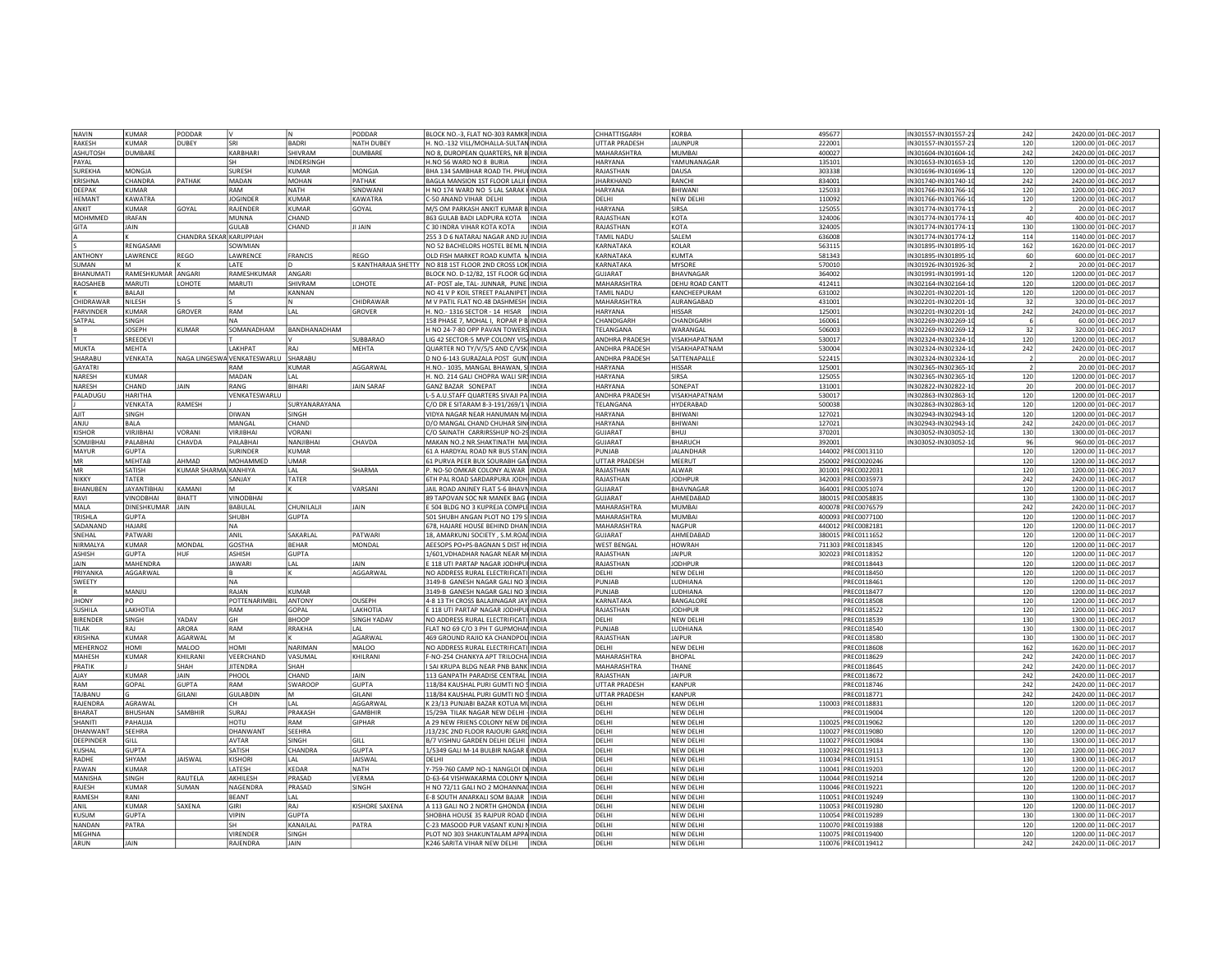| NAVIN            | KUMAR              | PODDAR                  | l٧                                  | N             | PODDAR             | BLOCK NO.-3. FLAT NO-303 RAMKR INDIA                                              | CHHATTISGARH          | KORBA                                 | 495677                                   | IN301557-IN301557-21<br>242 | 2420.00 01-DEC-2017                           |
|------------------|--------------------|-------------------------|-------------------------------------|---------------|--------------------|-----------------------------------------------------------------------------------|-----------------------|---------------------------------------|------------------------------------------|-----------------------------|-----------------------------------------------|
| RAKESH           | KIIMAR             | DUBFY                   | <b>SRI</b>                          | BADRI         | NATH DUBFY         | H. NO.-132 VIII / MOHALLA-SULTAN INDIA                                            | UTTAR PRADESH         | <b>JAUNPUR</b>                        | 222001                                   | 120<br>IN301557-IN301557-2  | 1200.00 01-DEC-2017                           |
| ASHUTOSH         | <b>DUMBARE</b>     |                         | KARBHAR                             | SHIVRAM       | DUMBARE            | NO 8, DUROPEAN QUARTERS, NR B INDIA                                               | MAHARASHTRA           | <b>MUMBA</b>                          | 400027                                   | N301604-IN301604-1<br>242   | 2420.00 01-DEC-2017                           |
| PAYAL            |                    |                         | <b>SH</b>                           | NDERSINGH     |                    | H.NO 56 WARD NO 8 BURIA<br><b>INDIA</b>                                           | HARYANA               | YAMUNANAGAR                           | 135101                                   | IN301653-IN301653-1<br>120  | 1200.00 01-DEC-2017                           |
| SUREKHA          | MONGJA             |                         | SURESH                              | KUMAF         | MONGJA             | BHA 134 SAMBHAR ROAD TH. PHUI INDIA                                               | RAJASTHAN             | DAUSA                                 | 303338                                   | 120<br>IN301696-IN301696-1  | 1200.00 01-DEC-2017                           |
|                  |                    |                         |                                     |               |                    |                                                                                   |                       |                                       |                                          |                             |                                               |
| KRISHNA          | CHANDRA            | PATHAK                  | MADAN                               | MOHAN         | PATHAK             | BAGLA MANSION 1ST FLOOR LALII INDIA                                               | <b>JHARKHAND</b>      | RANCHI                                | 834001                                   | IN301740-IN301740-1<br>242  | 2420.00 01-DEC-2017                           |
| DEEPAK           | KUMAR              |                         | RAM                                 | NATH          | SINDWANI           | H NO 174 WARD NO 5 LAL SARAK HINDIA                                               | HARYANA               | <b>BHIWAN</b>                         | 125033                                   | 120<br>IN301766-IN301766-1  | 1200.00 01-DEC-2017                           |
| <b>HFMAN1</b>    | <b>KAWATRA</b>     |                         | JOGINDER                            | KUMAF         | KAWATRA            | C-50 ANAND VIHAR DELHI<br><b>INDIA</b>                                            | <b>DELHI</b>          | NEW DELHI                             | 110092                                   | 120<br>IN301766-IN301766-1  | 1200.00 01-DEC-2017                           |
| ANKIT            | KUMAR              | GOYAL                   | RAJENDER                            | KUMAR         | GOYAL              | M/S OM PARKASH ANKIT KUMAR B INDIA                                                | HARYANA               | SIRSA                                 | 125055                                   | IN301774-IN301774-1         | 20.00 01-DEC-2017<br>$\overline{2}$           |
| MOHMMED          | <b>IRAFAN</b>      |                         | MUNNA                               | CHAND         |                    | 863 GULAB BADI LADPURA KOTA<br><b>INDIA</b>                                       | RAJASTHAN             | <b>KOTA</b>                           | 324006                                   | IN301774-IN301774-1<br>40   | 400.00 01-DEC-2017                            |
| GITA             | JAIN               |                         | GULAB                               | CHAND         | <b>AIAL IL</b>     | C 30 INDRA VIHAR KOTA KOTA<br><b>INDIA</b>                                        | RAJASTHAN             | KOTA                                  | 324005                                   | IN301774-IN301774-1<br>130  | 1300.00 01-DEC-2017                           |
|                  |                    | CHANDRA SEKAR KARUPPIAH |                                     |               |                    | 255 3 D 6 NATARAJ NAGAR AND JU INDIA                                              | TAMIL NADL            | SALEM                                 | 636008                                   | IN301774-IN301774-1<br>114  | 1140.00 01-DEC-2017                           |
|                  | RENGASAMI          |                         | SOWMIAN                             |               |                    |                                                                                   | KARNATAKA             | KOLAR                                 | 563115                                   | 162                         |                                               |
|                  |                    |                         |                                     |               |                    | NO 52 BACHELORS HOSTEL BEML N INDIA                                               |                       |                                       |                                          | IN301895-IN301895-1         | 1620.00 01-DEC-2017                           |
| ANTHONY          | LAWRENCE           | REGO                    | LAWRENCE                            | FRANCIS       | REGO               | OLD FISH MARKET ROAD KUMTA NINDIA                                                 | KARNATAKA             | KUMTA                                 | 581343                                   | IN301895-IN301895-1<br>60   | 600.00 01-DEC-2017                            |
| <b>SUMAN</b>     | M                  |                         | LATE                                |               |                    | S KANTHARAJA SHETTY NO 818 1ST FLOOR 2ND CROSS LOK INDIA                          | KARNATAKA             | MYSORE                                | 570010                                   | IN301926-IN301926-3         | 20.00 01-DEC-2017<br>$\overline{\phantom{a}}$ |
| <b>BHANUMATI</b> | RAMESHKUMAR ANGAR  |                         | RAMESHKUMAR                         | ANGARI        |                    | BLOCK NO. D-12/82, 1ST FLOOR GO INDIA                                             | <b>GUJARAT</b>        | <b>BHAVNAGAR</b>                      | 364002                                   | IN301991-IN301991-1<br>120  | 1200.00 01-DEC-2017                           |
| RAOSAHEB         | MARUTI             | LOHOTE                  | MARUTI                              | SHIVRAM       | OHOTE.             | AT- POST ale, TAL- JUNNAR, PUNE INDIA                                             | <b>MAHARASHTRA</b>    | DEHU ROAD CANTT                       | 412411                                   | 120<br>IN302164-IN302164-1  | 1200.00 01-DEC-2017                           |
|                  | <b>BALAIL</b>      |                         | lм                                  | KANNAN        |                    | NO 41 V P KOIL STREET PALANIPET INDIA                                             | TAMII NADU            | KANCHEFPURAM                          | 631002                                   | 120<br>IN302201-IN302201-1  | 1200.00 01-DEC-2017                           |
| CHIDRAWAR        | NILESH             |                         |                                     |               | HIDRAWAR           | M V PATIL FLAT NO.48 DASHMESH<br>INDIA                                            | MAHARASHTRA           | AURANGABAD                            | 431001                                   | N302201-IN302201-1<br>32    | 320.00 01-DEC-2017                            |
| PARVINDER        | <b>KUMAR</b>       | GROVER                  | RAM                                 | LAL           | <b>SROVER</b>      | 1. NO.- 1316 SECTOR - 14 HISAR<br><b>INDIA</b>                                    | HARYANA               | <b>HISSAR</b>                         | 125001                                   | IN302201-IN302201-1<br>242  | 2420.00 01-DEC-2017                           |
|                  | SINGH              |                         | <b>NA</b>                           |               |                    | 158 PHASE 7. MOHALL ROPAR P BUNDIA                                                | <b>HANDIGARH</b>      | CHANDIGARH                            |                                          |                             |                                               |
| SATPAL           |                    |                         |                                     |               |                    |                                                                                   |                       |                                       | 160061                                   | N302269-IN302269-1          | 60.00 01-DEC-2017                             |
|                  | <b>JOSEPH</b>      | <b>KUMAR</b>            | SOMANADHAM                          | BANDHANADHAM  |                    | H NO 24-7-80 OPP PAVAN TOWERS INDIA                                               | TELANGANA             | WARANGAL                              | 506003                                   | IN302269-IN302269-1<br>32   | 320.00 01-DEC-2017                            |
|                  | SREEDEVI           |                         |                                     |               | SUBBARAO           | LIG 42 SECTOR-5 MVP COLONY VIS/ INDIA                                             | ANDHRA PRADESH        | VISAKHAPATNAM                         | 530017                                   | IN302324-IN302324-1<br>120  | 1200.00 01-DEC-2017                           |
| <b>MUKTA</b>     | MFHTA              |                         | <b>IAKHPAT</b>                      | RAI           | <b>MEHTA</b>       | QUARTER NO TY/V/5/S AND C/VSK INDIA                                               | <b>ANDHRA PRADESH</b> | VISAKHAPATNAM                         | 530004                                   | 242<br>IN302324-IN302324-1  | 2420.00 01-DEC-2017                           |
| SHARABL          | VFNKATA            |                         | NAGA LINGESWA VENKATESWARLU SHARABU |               |                    | D NO 6-143 GURAZALA POST GUNTINDIA                                                | <b>ANDHRA PRADESH</b> | SATTENAPALLE                          | 522415                                   | IN302324-IN302324-3         | 20.00 01-DEC-2017                             |
| <b>GAYATRI</b>   |                    |                         | RAM                                 | KUMAR         | AGGARWAI           | H.NO.- 1035, MANGAL BHAWAN, SI INDIA                                              | HARYANA               | <b>HISSAR</b>                         | 125001                                   | IN302365-IN302365-1         | 20.00 01-DEC-2017<br>$\overline{2}$           |
| NARESH           | <b>KUMAR</b>       |                         | MADAN                               | I AI          |                    | H. NO. 214 GALI CHOPRA WALI SIRSINDIA                                             | HARYANA               | SIRSA                                 | 125055                                   | 120<br>IN302365-IN302365-1  | 1200.00 01-DEC-2017                           |
|                  |                    |                         |                                     | <b>BIHARI</b> |                    | <b>INDIA</b>                                                                      |                       |                                       |                                          |                             |                                               |
| NARESH           | CHAND              | JAIN                    | RANG                                |               | <b>AIN SARAF</b>   | GANZ BAZAR SONEPAT                                                                | HARYANA               | SONEPAT                               | 131001                                   | IN302822-IN302822-1<br>20   | 200.00 01-DEC-2017                            |
| PALADUGU         | <b>HARITHA</b>     |                         | VENKATESWARLU                       |               |                    | L-5 A.U.STAFF QUARTERS SIVAJI PA INDIA                                            | ANDHRA PRADESH        | VISAKHAPATNAM                         | 530017                                   | IN302863-IN302863-1<br>120  | 1200.00 01-DEC-2017                           |
|                  | VENKATA            | RAMESH                  |                                     | SURYANARAYANA |                    | C/O DR E SITARAM 8-3-191/269/1 \ INDIA                                            | <b>TELANGANA</b>      | HYDERABAD                             | 500038                                   | IN302863-IN302863-1<br>120  | 1200.00 01-DEC-2017                           |
| AJIT             | SINGH              |                         | DIWAN                               | SINGH         |                    | VIDYA NAGAR NEAR HANUMAN M/ INDIA                                                 | HARYANA               | BHIWANI                               | 127021                                   | IN302943-IN302943-1<br>120  | 1200.00 01-DEC-2017                           |
| ANJU             | BALA               |                         | MANGAL                              | CHAND         |                    | D/O MANGAL CHAND CHUHAR SIN INDIA                                                 | HARYANA               | BHIWANI                               | 127021                                   | 242<br>IN302943-IN302943-1  | 2420.00 01-DEC-2017                           |
| <b>KISHOF</b>    | <b>VIRJIBHAI</b>   | VORANI                  | VIRIIBHAI                           | VORANI        |                    | C/O SAINATH CARRIRSSHUP NO-25 INDIA                                               | <b>GUJARAT</b>        | BHUJ                                  | 370201                                   | 130<br>IN303052-IN303052-1  | 1300.00 01-DEC-2017                           |
| SOMIIBHA         | <b>PAI ABHAI</b>   | CHAVDA                  | PAI ABHA                            | NANJIRHA      | CHAVDA             | MAKAN NO.2 NR.SHAKTINATH MAINDIA                                                  | <b>GUJARAT</b>        | <b>BHARUCH</b>                        | 392001                                   | IN303052-IN303052-1<br>96   | 960.00 01-DEC-2017                            |
| MAYUR            | <b>GUPTA</b>       |                         | <b>SURINDER</b>                     | CUMAR         |                    | 61 A HARDYAL ROAD NR BUS STAN INDIA                                               | PUNJAB                | <b>JALANDHAR</b>                      | 144002 PREC0013110                       | 120                         | 1200.00 11-DEC-2017                           |
|                  |                    |                         |                                     |               |                    |                                                                                   |                       |                                       |                                          |                             |                                               |
| MR               | MEHTAB             | AHMAD                   | MOHAMMED                            | UMAR          |                    | 61 PURVA PEER BUX SOURABH GAT INDIA                                               | UTTAR PRADESH         | MEERUT                                | 250002 PREC0020246                       | 120                         | 1200.00 11-DEC-2017                           |
| <b>MR</b>        | SATISH             | KUMAR SHARMA KANHIYA    |                                     | LAL           | <b>HARMA</b>       | P. NO-50 OMKAR COLONY ALWAR INDIA                                                 | RAJASTHAN             | ALWAR                                 | 301001 PREC0022031                       | 120                         | 1200.00 11-DEC-2017                           |
| NIKKY            | TATER              |                         | SANJAY                              | TATER         |                    | 6TH PAL ROAD SARDARPURA JODH INDIA                                                | RAJASTHAN             | <b>JODHPUF</b>                        | 342003 PREC0035973                       | 242                         | 2420.00 11-DEC-2017                           |
|                  | <b>JAYANTIBHAI</b> | KAMANI                  | lм                                  |               | VARSANI            |                                                                                   | <b>GUJARAT</b>        |                                       |                                          | 120                         | 1200.00 11-DEC-2017                           |
| <b>BHANUBEN</b>  |                    |                         |                                     |               |                    |                                                                                   |                       | BHAVNAGAR                             | 364001 PREC0051074                       |                             |                                               |
|                  |                    |                         |                                     |               |                    | JAIL ROAD ANJNEY FLAT S-6 BHAVN INDIA                                             |                       |                                       |                                          |                             |                                               |
| RAVI             | <b>VINODBHAI</b>   | <b>BHATT</b>            | VINODBHAI                           |               |                    | 89 TAPOVAN SOC NR MANEK BAG I INDIA                                               | <b>GUJARAT</b>        | AHMEDABAD                             | 380015 PREC0058835                       | 130                         | 1300.00 11-DEC-2017                           |
| MALA             | DINESHKUMAR JAIN   |                         | <b>BABULAL</b>                      | CHUNILALJI    | JAIN               | E 504 BLDG NO 3 KUPREJA COMPLE INDIA                                              | <b>MAHARASHTRA</b>    | MUMBAI                                | 400078 PREC0076579                       | 242                         | 2420.00 11-DEC-2017                           |
| TRISHLA          | <b>GUPTA</b>       |                         | SHUBH                               | <b>GUPTA</b>  |                    | 501 SHUBH ANGAN PLOT NO 179 S INDIA                                               | MAHARASHTRA           | <b>MUMBA</b>                          | 400093 PREC0077100                       | 120                         | 1200.00 11-DEC-2017                           |
| SADANAND         | HAJARE             |                         | NA                                  |               |                    | 678, HAJARE HOUSE BEHIND DHAN INDIA                                               | MAHARASHTRA           | NAGPUR                                | 440012 PREC0082181                       | 120                         | 1200.00 11-DEC-2017                           |
| SNEHAL           | PATWARI            |                         | ANIL                                | SAKARLAL      | PATWARI            | 18, AMARKUNJ SOCIETY, S.M.ROAI INDIA                                              | GUJARAT               | AHMFDABAD                             | 380015 PREC0111652                       | 120                         | 1200.00<br>11-DEC-2017                        |
| NIRMALYA         | KUMAR              | MONDAL                  | GOSTHA                              | <b>BEHAR</b>  | MONDAL             | AEESOPS PO+PS-BAGNAN S DIST HOINDIA                                               | <b>WEST BENGAL</b>    | <b>HOWRAH</b>                         | 711303 PREC0118345                       | 120                         | 1200.00<br>11-DEC-2017                        |
| ASHISH           | GUPTA              | HUF                     | ASHISH                              | <b>GUPTA</b>  |                    | 1/601, VDHADHAR NAGAR NEAR MI INDIA                                               | RAJASTHAN             | <b>IAIPUR</b>                         | 302023 PREC0118352                       | 120                         | 1200.00<br>11-DEC-2017                        |
| <b>JAIN</b>      | <b>MAHENDRA</b>    |                         |                                     | LAL           | <b>JAIN</b>        |                                                                                   |                       | <b>JODHPUR</b>                        | PREC0118443                              |                             | 1200.00 11-DEC-2017                           |
|                  |                    |                         | JAWARI                              |               |                    | E 118 UTI PARTAP NAGAR JODHPUI INDIA                                              | RAJASTHAN             |                                       |                                          | 120                         |                                               |
| PRIYANKA         | AGGARWAL           |                         | l B                                 |               | AGGARWAL           | NO ADDRESS RURAL ELECTRIFICATI INDIA                                              | DELHI                 | NEW DELHI                             | PREC0118450                              | 120                         | 1200.00 11-DEC-2017                           |
| SWEETY           |                    |                         | NA                                  |               |                    | 3149-B GANESH NAGAR GALI NO 3 INDIA                                               | PUNJAE                | LUDHIANA                              | PREC0118461                              | 120                         | 1200.00 11-DEC-2017                           |
|                  | MANIU              |                         | RAIAN                               | KLIMAR        |                    | 3149-B GANESH NAGAR GALI NO 3 INDIA                                               | PUNIAR                | <b>IUDHIANA</b>                       | PREC0118477                              | 120                         | 1200.00 11-DEC-2017                           |
| <b>IHONY</b>     | PO                 |                         | <b>POTTFNARIMBIL</b>                | <b>ANTONY</b> | OUSEPH             | 4-8 13 TH CROSS BALAJINAGAR JAY INDIA                                             | KARNATAKA             | <b>BANGALORE</b>                      | PREC0118508                              | 120                         | 1200.00 11-DEC-2017                           |
| SUSHILA          | <b>I AKHOTIA</b>   |                         | RAM                                 | GOPAI         | ΑΚΗΩΤΙΑ            | E 118 UTI PARTAP NAGAR JODHPUI INDIA                                              | RAJASTHAN             | <b>IODHPUR</b>                        | PRFC0118522                              | 120                         | 1200.00<br>11-DEC-2017                        |
| BIRENDER         | SINGH              | YADAV                   | l GH                                | <b>BHOOP</b>  | <b>SINGH YADAV</b> | NO ADDRESS RURAL ELECTRIFICATI INDIA                                              | DELHI                 | <b>NEW DELHI</b>                      | PREC0118539                              | 130                         | 1300.00<br>11-DEC-2017                        |
| <b>ILAK</b>      | RAI                | ARORA                   | RAM                                 | RRAKHA        |                    | FLAT NO 69 C/O 3 PH T GUPMOHAI INDIA                                              | PUNIAR                | LUDHIANA                              | PREC0118540                              | 130                         | 1300.00<br>1-DEC-2017                         |
| <b>KRISHNA</b>   | <b>KUMAR</b>       | AGARWAL                 | lм                                  |               | AGARWAI            | 469 GROUND RAJIO KA CHANDPOLINDIA                                                 | RAJASTHAN             | <b>JAIPUR</b>                         | PREC0118580                              | 130                         | 1300.00<br>1-DEC-2017                         |
| MEHERNOZ         | HOMI               | <b>MALOO</b>            | <b>HOMI</b>                         | NARIMAN       | <b>MALOO</b>       | NO ADDRESS RURAL ELECTRIFICATI INDIA                                              | DELHI                 | NEW DELHI                             | <b>PREC0118608</b>                       | 162                         | 1620.00<br>1-DEC-2017                         |
|                  |                    |                         |                                     |               |                    |                                                                                   |                       |                                       |                                          |                             |                                               |
| MAHESH           | <b>KUMAR</b>       | KHILRANI                | VEERCHAND                           | VASUMAL       | KHILRANI           | F-NO-254 CHANKYA APT TRILOCHA INDIA                                               | MAHARASHTRA           | <b>BHOPAL</b>                         | PREC0118629                              | 242                         | 2420.00<br>11-DEC-2017                        |
| PRATIK           |                    | SHAH                    | JITENDRA                            | SHAH          |                    | I SAI KRUPA BLDG NEAR PNB BANK INDIA                                              | <b>MAHARASHTRA</b>    | THANE                                 | <b>PREC0118645</b>                       | 242                         | 2420.00<br>11-DEC-2017                        |
| AIAY             | KUMAR              | JAIN                    | PHOOL                               | CHAND         | <b>JAIN</b>        | 113 GANPATH PARADISE CENTRAL INDIA                                                | RAIASTHAN             | <b>JAIPUR</b>                         | PREC0118672                              | 242                         | 2420.00 11-DEC-2017                           |
| RAM              | GOPAL              | <b>GUPTA</b>            | RAM                                 | SWAROOF       | <b>GUPTA</b>       | 118/84 KAUSHAL PURI GUMTI NO 5 INDIA                                              | <b>UTTAR PRADESH</b>  | KANPUR                                | PREC0118746                              | 242                         | 2420.00 11-DEC-2017                           |
| TAJBANU          |                    | GILANI                  | <b>GULABDIN</b>                     | M             | GILANI             | 118/84 KAUSHAL PURI GUMTI NO 5 INDIA                                              | UTTAR PRADESH         | KANPUR                                | PREC0118771                              | 242                         | 2420.00 11-DEC-2017                           |
| RAJENDRA         | AGRAWAL            |                         | lсн                                 | li Al         | AGGARWAI           | K 23/13 PUNJABI BAZAR KOTUA MU INDIA                                              | DELHI                 | <b>NEW DELHI</b>                      | 110003 PREC0118831                       | 120                         | 1200.00 11-DEC-2017                           |
| <b>BHARAT</b>    | <b>BHUSHAN</b>     | SAMBHIR                 | SURAJ                               | PRAKASH       | <b>GAMBHIF</b>     | 15/29A TILAK NAGAR NEW DELHI - INDIA                                              | DELHI                 | NEW DELHI                             | PREC0119004                              | 120                         | 1200.00 11-DEC-2017                           |
| SHANITI          | PAHAUJA            |                         | HOTU                                | RAM           | GIPHAR             |                                                                                   | DELHI                 | NEW DELHI                             | 110025 PREC0119062                       | 120                         | 1200.00 11-DEC-2017                           |
|                  |                    |                         |                                     |               |                    | A 29 NEW FRIENS COLONY NEW DE INDIA                                               |                       |                                       |                                          |                             |                                               |
| DHANWANT         | <b>SEEHRA</b>      |                         | DHANWANT                            | SEEHRA        |                    | J13/23C 2ND FLOOR RAJOURI GARE INDIA                                              | DELHI                 | NEW DELHI                             | 110027 PREC0119080                       | 120                         | 1200.00 11-DEC-2017                           |
| DEEPINDER        | GILL               |                         | AVTAR                               | SINGH         | GILL               | B/7 VISHNU GARDEN DELHI DELHI  INDIA                                              | DELHI                 | NEW DELHI                             | 110027 PREC0119084                       | 130                         | 1300.00 11-DEC-2017                           |
| KUSHAL           | <b>GUPTA</b>       |                         | SATISH                              | CHANDRA       | <b>GUPTA</b>       | 1/5349 GALI M-14 BULBIR NAGAR E INDIA                                             | DELHI                 | NEW DELHI                             | 110032 PREC0119113                       | 120                         | 1200.00 11-DEC-2017                           |
| RADHE            | SHYAM              | <b>JAISWAL</b>          | <b>KISHORI</b>                      | LAL           | <b>JAISWAL</b>     | <b>DELHI</b><br><b>NDIA</b>                                                       | DELHI                 | NEW DELHI                             | 110034 PREC0119151                       | 130                         | 1300.00 11-DEC-2017                           |
| PAWAN            | KUMAR              |                         | <b>I ATFSH</b>                      | KEDAR         | <b>NATH</b>        | r-759-760 CAMP NO-1 NANGLOI DI INDIA                                              | DELHI                 | NFW DFI HI                            | 110041 PREC0119203                       | 120                         | 1200.00 11-DEC-2017                           |
| MANISHA          | SINGH              | RAUTELA                 | AKHILESH                            | PRASAD        | <b>ERMA</b>        | D-63-64 VISHWAKARMA COLONY N INDIA                                                | DELHI                 | NEW DELHI                             | 110044 PREC0119214                       | 120                         | 1200.00 11-DEC-2017                           |
| RAJESH           | KUMAR              | SUMAN                   | NAGENDRA                            | PRASAD        | <b>SINGH</b>       | H NO 72/11 GALI NO 2 MOHANNA(INDIA                                                | DFI HI                | NEW DELHI                             | 110046 PREC0119221                       | 120                         | 1200.00 11-DEC-2017                           |
| <b>RAMESH</b>    | RANI               |                         | BEANT                               | LAL           |                    | E-8 SOUTH ANARKALI SOM BAJAR INDIA                                                | DELHI                 | <b>NEW DELHI</b>                      | 110051 PREC0119249                       | 130                         | 1300.00 11-DEC-2017                           |
|                  |                    | SAXFNA                  |                                     | RAI           |                    |                                                                                   |                       |                                       |                                          |                             |                                               |
| ANIL             | <b>KUMAR</b>       |                         | GIRI                                |               | KISHORE SAXENA     | A 113 GALI NO 2 NORTH GHONDA I INDIA                                              | DELHI                 | NEW DELHI                             | 110053 PREC0119280                       | 120                         | 1200.00 11-DEC-2017                           |
| <b>KUSUM</b>     | <b>GUPTA</b>       |                         | <b>VIPIN</b>                        | <b>GUPTA</b>  |                    | SHOBHA HOUSE 35 RAJPUR ROAD I INDIA                                               | DELHI                 | NEW DELHI                             | 110054 PREC0119289                       | 130                         | 1300.00 11-DEC-2017                           |
| NANDAN           | PATRA              |                         | l sh                                | KANAILAI      | PATRA              | C-23 MASOOD PUR VASANT KUNJ NINDIA                                                | DFI HI                | NEW DELHI                             | 110070 PREC0119388                       | 120                         | 1200.00 11-DEC-2017                           |
| MEGHNA<br>ARUN   | JAIN               |                         | VIRENDER<br>RAJENDRA                | SINGH<br>JAIN |                    | PLOT NO 303 SHAKUNTALAM APPA INDIA<br>K246 SARITA VIHAR NEW DELHI<br><b>INDIA</b> | DFI HI<br>DELHI       | <b>NEW DELHI</b><br><b>NFW DFI HI</b> | 110075 PREC0119400<br>110076 PREC0119412 | 120<br>242                  | 1200.00 11-DEC-2017<br>2420.00 11-DEC-2017    |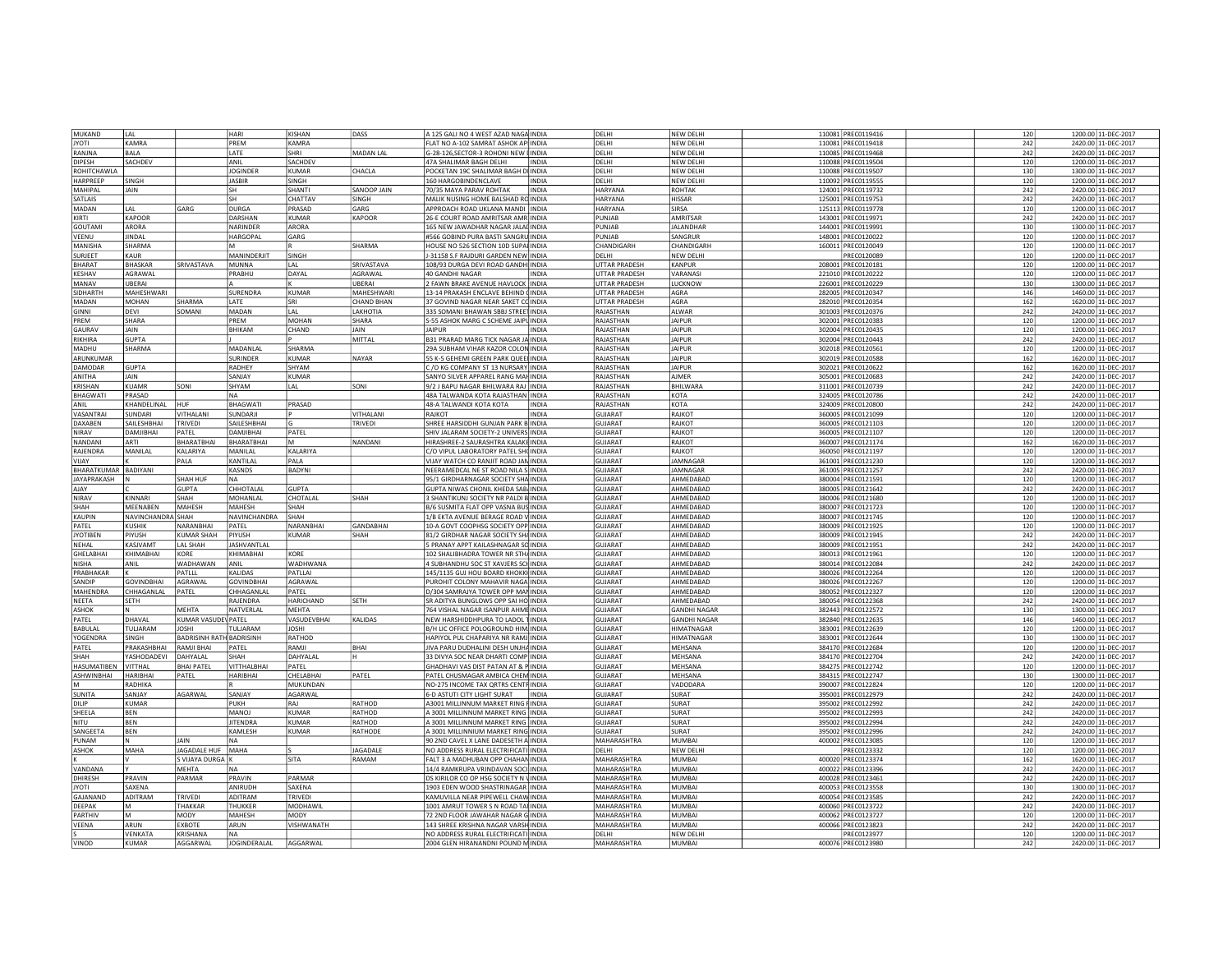| MUKAND               | I AI               |                             | HARI                       | KISHAN           | DASS              | A 125 GALI NO 4 WEST AZAD NAGA INDIA       |              | DELHI                | NEW DELHI           | 110081 PREC0119416 | 120 | 1200.00 11-DEC-2017 |
|----------------------|--------------------|-----------------------------|----------------------------|------------------|-------------------|--------------------------------------------|--------------|----------------------|---------------------|--------------------|-----|---------------------|
| <b>JYOTI</b>         | KAMRA              |                             | PREM                       | KAMRA            |                   | FLAT NO A-102 SAMRAT ASHOK AP INDIA        |              | DELHI                | NEW DELHI           | 110081 PREC0119418 | 242 | 2420.00 11-DEC-2017 |
|                      |                    |                             |                            |                  |                   |                                            |              |                      |                     |                    |     |                     |
| RANJNA               | <b>BALA</b>        |                             | LATE                       | SHRI             | MADAN LAL         | G-28-126, SECTOR-3 ROHONI NEW I INDIA      |              | DELHI                | NEW DELHI           | 110085 PREC0119468 | 242 | 2420.00 11-DEC-2017 |
| DIPESH               | SACHDEV            |                             | ANIL                       | SACHDEV          |                   | 47A SHALIMAR BAGH DELHI                    | <b>INDIA</b> | DELHI                | NEW DELHI           | 110088 PREC0119504 | 120 | 1200.00 11-DEC-2017 |
| ROHITCHAWLA          |                    |                             | <b>JOGINDER</b>            | <b>KUMAR</b>     | CHACLA            | POCKETAN 19C SHALIMAR BAGH DI INDIA        |              | DELHI                | <b>NEW DELHI</b>    | 110088 PREC0119507 | 130 | 1300.00 11-DEC-2017 |
| HARPREEP             | SINGH              |                             | <b>JASBIR</b>              | SINGH            |                   | 160 HARGOBINDENCLAVE                       | <b>INDIA</b> | DELHI                | <b>NFW DFI HI</b>   | 110092 PREC0119555 | 120 | 1200.00 11-DEC-2017 |
| MAHIPAL              | <b>JAIN</b>        |                             | lsh                        | SHANTI           | SANOOP JAIN       | 70/35 MAYA PARAV ROHTAK                    | <b>INDIA</b> | HARYANA              | ROHTAK              | 124001 PREC0119732 | 242 | 2420.00 11-DEC-2017 |
| SATLAIS              |                    |                             | lsh                        | CHATTAV          | SINGH             | MALIK NUSING HOME BALSHAD RC INDIA         |              | HARYANA              | <b>HISSAR</b>       | 125001 PREC0119753 |     |                     |
|                      |                    |                             |                            |                  |                   |                                            |              |                      |                     |                    | 242 | 2420.00 11-DEC-2017 |
| MADAN                | LAL                | GARG                        | <b>DURGA</b>               | PRASAD           | GARG              | APPROACH ROAD UKLANA MANDI INDIA           |              | HARYANA              | SIRSA               | 125113 PREC0119778 | 120 | 1200.00 11-DEC-2017 |
| KIRTI                | KAPOOR             |                             | DARSHAN                    | <b>CLIMAR</b>    | <b>KAPOOR</b>     | 26-E COURT ROAD AMRITSAR AMR INDIA         |              | PUNIAR               | AMRITSAR            | 143001 PREC0119971 | 242 | 2420.00 11-DEC-2017 |
| <b>GOUTAMI</b>       | ARORA              |                             | NARINDER                   | ARORA            |                   | 165 NEW JAWADHAR NAGAR JALAI INDIA         |              | PUNJAB               | <b>JALANDHAR</b>    | 144001 PREC0119991 | 130 | 1300.00 11-DEC-2017 |
| VEENU                | <b>JINDAL</b>      |                             | HARGOPAL                   | GARG             |                   | #566 GOBIND PURA BASTI SANGRU INDIA        |              | PUNJAB               | SANGRUR             | 148001 PREC0120022 | 120 | 1200.00 11-DEC-2017 |
|                      |                    |                             |                            |                  |                   |                                            |              |                      |                     |                    |     |                     |
| MANISHA              | SHARMA             |                             | lм                         |                  | SHARMA            | HOUSE NO 526 SECTION 10D SUPAI INDIA       |              | CHANDIGARH           | CHANDIGARI          | 160011 PREC0120049 | 120 | 1200.00 11-DEC-2017 |
| SURJEET              | KAUR               |                             | MANINDERJIT                | SINGH            |                   | J-31158 S.F RAJDURI GARDEN NEW INDIA       |              | DFI HI               | NEW DELHI           | PREC0120089        | 120 | 1200.00 11-DEC-2017 |
| <b>BHARAT</b>        | <b>BHASKAR</b>     | SRIVASTAVA                  | MUNNA                      | I AI             | SRIVASTAVA        | 108/93 DURGA DEVI ROAD GANDH INDIA         |              | UTTAR PRADESH        | KANPUR              | 208001 PREC0120181 | 120 | 1200.00 11-DEC-2017 |
| KESHAV               | AGRAWAL            |                             | PRABHU                     | DAYAL            | AGRAWAL           | 40 GANDHI NAGAR                            | <b>INDIA</b> | <b>UTTAR PRADESH</b> | VARANASI            | 221010 PREC0120222 | 120 | 1200.00 11-DEC-2017 |
|                      |                    |                             |                            |                  |                   |                                            |              |                      |                     |                    |     |                     |
| MANAV                | <b>UBERAI</b>      |                             |                            |                  | <b>JRFRAI</b>     | 2 FAWN BRAKE AVENUE HAVLOCK INDIA          |              | UTTAR PRADESH        | LUCKNOW             | 226001 PREC0120229 | 130 | 1300.00 11-DEC-2017 |
| SIDHARTH             | MAHESHWARI         |                             | <b>SURENDRA</b>            | KUMAR            | MAHESHWARI        | 13-14 PRAKASH ENCLAVE BEHIND (INDIA        |              | UTTAR PRADESH        | AGRA                | 282005 PREC0120347 | 146 | 1460.00 11-DEC-2017 |
| MADAN                | MOHAN              | SHARMA                      | LATE                       | SRI              | <b>CHAND BHAN</b> | 37 GOVIND NAGAR NEAR SAKET CC INDIA        |              | UTTAR PRADESH        | AGRA                | 282010 PREC0120354 | 162 | 1620.00 11-DEC-2017 |
| GINNI                | <b>DEVI</b>        | SOMANI                      | MADAN                      | LAL              | LAKHOTIA          | 335 SOMANI BHAWAN SBBJ STREET INDIA        |              | RAJASTHAN            | ALWAR               | 301003 PREC0120376 | 242 | 2420.00 11-DEC-2017 |
|                      |                    |                             |                            |                  |                   |                                            |              |                      |                     |                    |     |                     |
| PREM                 | SHARA              |                             | PREM                       | <b>MOHAN</b>     | SHARA             | S-55 ASHOK MARG C SCHEME JAIPL INDIA       |              | RAJASTHAN            | <b>IAIPUR</b>       | 302001 PREC0120383 | 120 | 1200.00 11-DEC-2017 |
| GAURAV               | <b>JAIN</b>        |                             | <b>BHIKAM</b>              | CHAND            | <b>AIN</b>        | <b>IAIPUR</b>                              | <b>NDIA</b>  | RAJASTHAN            | <b>IAIPUR</b>       | 302004 PREC0120435 | 120 | 1200.00 11-DEC-2017 |
| RIKHIRA              | GUPTA              |                             |                            |                  | MITTAI            | <b>B31 PRARAD MARG TICK NAGAR JA INDIA</b> |              | RAIASTHAN            | <b>IAIPUF</b>       | 302004 PREC0120443 | 242 | 2420.00 11-DEC-2017 |
| MADHU                | SHARMA             |                             | MADANI AI                  | SHARMA           |                   | 29A SUBHAM VIHAR KAZOR COLON INDIA         |              | RAJASTHAN            | <b>JAIPUR</b>       | 302018 PREC0120561 | 120 | 1200.00 11-DEC-2017 |
|                      |                    |                             |                            |                  |                   |                                            |              |                      |                     |                    |     |                     |
| ARUNKUMAR            |                    |                             | SURINDER                   | <b>ILIMAR</b>    | NAYAR             | 55 K-5 GEHEMI GREEN PARK QUEEL INDIA       |              | RAJASTHAN            | <b>IAIPUF</b>       | 302019 PREC0120588 | 162 | 1620.00 11-DEC-2017 |
| DAMODAR              | <b>GUPTA</b>       |                             | RADHEY                     | <b>HYAM</b>      |                   | /O KG COMPANY ST 13 NURSARY INDIA          |              | RAJASTHAN            | <b>IAIPUF</b>       | 302021 PREC0120622 | 162 | 1620.00 11-DEC-2017 |
| ANITHA               | <b>JAIN</b>        |                             | SANJAY                     | KUMAR            |                   | SANYO SILVER APPAREL RANG MAH INDIA        |              | RAJASTHAN            | AJMER               | 305001 PREC0120683 | 242 | 2420.00 11-DEC-2017 |
| KRISHAN              | KUAMR              | SONI                        | SHYAM                      | LAL              | SONI              | 9/2 J BAPU NAGAR BHILWARA RAJ INDIA        |              | RAJASTHAN            | BHILWARA            | 311001 PREC0120739 | 242 | 2420.00 11-DEC-2017 |
|                      |                    |                             |                            |                  |                   |                                            |              |                      |                     |                    |     |                     |
| BHAGWATI             | PRASAD             |                             | <b>NA</b>                  |                  |                   | 48A TALWANDA KOTA RAJASTHAN INDIA          |              | RAJASTHAN            | KOTA                | 324005 PREC0120786 | 242 | 2420.00 11-DEC-2017 |
| ANIL                 | <b>KHANDFLINA</b>  | HUF                         | BHAGWATI                   | PRASAD           |                   | 48-A TALWANDI KOTA KOTA                    | <b>INDIA</b> | RAIASTHAN            | KOTA                | 324009 PREC0120800 | 242 | 2420.00 11-DEC-2017 |
| VASANTRAI            | SUNDARI            | <b>VITHAI ANI</b>           | <b>SUNDARI</b>             |                  | <b>VITHAI ANI</b> | RAIKOT                                     | <b>INDIA</b> | <b>GUIARAT</b>       | RAJKOT              | 360005 PREC0121099 | 120 | 1200.00 11-DEC-2017 |
| <b>DAXABEN</b>       | <b>SAILESHBHAI</b> | <b>TRIVEDI</b>              | <b>SAILESHBHAL</b>         |                  | <b>TRIVEDI</b>    | SHREE HARSIDDHI GUNIAN PARK BUNDIA         |              | <b>GUIARAT</b>       | RAIKOT              | 360005 PREC0121103 | 120 | 1200.00 11-DEC-2017 |
| NIRAV                | DAMIIRHAI          | PATEL                       | DAMJIBHAI                  | PATEL            |                   | SHIV JALARAM SOCIETY-2 UNIVERS INDIA       |              | GUJARAT              | RAJKOT              | 360005 PREC0121107 | 120 | 1200.00 11-DEC-2017 |
|                      |                    |                             |                            |                  |                   |                                            |              |                      |                     |                    |     |                     |
| NANDANI              | ARTI               | BHARATBHAI                  | BHARATBHAI                 | lм               | NANDANI           | HIRASHREE-2 SAURASHTRA KALAKE INDIA        |              | <b>GUJARAT</b>       | RAJKOT              | 360007 PREC0121174 | 162 | 1620.00 11-DEC-2017 |
| RAJENDRA             | MANILAI            | KALARIYA                    | MANILAL                    | KALARIYA         |                   | C/O VIPUL LABORATORY PATEL SHOINDIA        |              | <b>GUJARAT</b>       | RAJKOT              | 360050 PREC0121197 | 120 | 1200.00 11-DEC-2017 |
| VIJAY                |                    | PALA                        | KANTILAL                   | PALA             |                   | VIJAY WATCH CO RANJIT ROAD JAN INDIA       |              | <b>GUJARAT</b>       | JAMNAGAR            | 361001 PREC0121230 | 120 | 1200.00 11-DEC-2017 |
|                      |                    |                             |                            |                  |                   |                                            |              | <b>GUJARAT</b>       | JAMNAGAR            |                    | 242 |                     |
| BHARATKUMAR BADIYANI |                    |                             | KASNDS                     | BADYNI           |                   | NEERAMEDCAL NE ST ROAD NILA S INDIA        |              |                      |                     | 361005 PREC0121257 |     | 2420.00 11-DEC-2017 |
| JAYAPRAKASH          | IN.                | <b>SHAH HUF</b>             | INA.                       |                  |                   | 95/1 GIRDHARNAGAR SOCIETY SHA INDIA        |              | <b>GUIARAT</b>       | AHMFDABAD           | 380004 PREC012159: | 120 | 1200.00 11-DEC-2017 |
| AIAY                 |                    | GUPTA                       | CHHOTALAL                  | <b>GUPTA</b>     |                   | GUPTA NIWAS CHONIL KHEDA SAB. INDIA        |              | <b>GUJARAT</b>       | AHMFDABAD           | 380005 PREC0121642 | 242 | 2420.00 11-DEC-2017 |
| <b>NIRAV</b>         | KINNARI            | SHAH                        | MOHANLAL                   | CHOTALAL         | SHAH              | SHANTIKUNJ SOCIETY NR PALDI B INDIA        |              | GUJARAT              | AHMFDABAD           | 380006 PREC0121680 | 120 | 1200.00 11-DEC-2017 |
| SHAH                 | MEENABEN           | MAHESH                      | MAHESH                     | SHAH             |                   | B/6 SUSMITA FLAT OPP VASNA BUS INDIA       |              | GUJARAT              | AHMEDABAD           | 380007 PREC0121723 | 120 | 1200.00 11-DEC-2017 |
|                      |                    |                             |                            |                  |                   |                                            |              |                      |                     |                    |     |                     |
| KAUPIN               | NAVINCHANDRA SHAH  |                             | NAVINCHANDRA               | SHAH             |                   | 1/B EKTA AVENUE BERAGE ROAD V INDIA        |              | GUJARAT              | AHMEDABAD           | 380007 PREC0121745 | 120 | 1200.00 11-DEC-2017 |
| PATEL                | <b>KUSHIK</b>      | NARANBHAI                   | PATEL                      | NARANBHA         | GANDABHAI         | 10-A GOVT COOPHSG SOCIETY OPP INDIA        |              | <b>GUJARAT</b>       | AHMEDABAD           | 380009 PREC0121925 | 120 | 1200.00 11-DEC-2017 |
| <b>JYOTIBEN</b>      | PIYUSH             | <b>KUMAR SHAH</b>           | PIYUSH                     | KUMAR            | SHAH              | 81/2 GIRDHAR NAGAR SOCIETY SHAINDIA        |              | <b>GUJARAT</b>       | AHMEDABAD           | 380009 PREC0121945 | 242 | 2420.00 11-DEC-2017 |
| NEHAL                | KASJVAMT           | LAL SHAH                    | <b>JASHVANTLAL</b>         |                  |                   | 5 PRANAY APPT KAILASHNAGAR SC INDIA        |              | <b>GUJARAT</b>       | AHMEDABAD           | 380009 PREC0121951 | 242 | 2420.00 11-DEC-2017 |
|                      |                    |                             |                            |                  |                   |                                            |              |                      |                     |                    |     |                     |
| <b>GHELABHA</b>      | KHIMARHAI          | KORF                        | KHIMABHAI                  | KORF             |                   | 102 SHALIBHADRA TOWER NR STH/ INDIA        |              | <b>GUJARAT</b>       | AHMEDABAD           | 380013 PREC0121961 | 120 | 1200.00 11-DEC-2017 |
| <b>NISHA</b>         | ANII               | WADHAWAN                    | ANIL                       | WADHWANA         |                   | 4 SUBHANDHU SOC ST XAVJERS SCHINDIA        |              | GUJARAT              | AHMEDABAD           | 380014 PREC0122084 | 242 | 2420.00 11-DEC-2017 |
| PRABHAKAR            |                    | PATLLL                      | KALIDAS                    | PATLLAI          |                   | 145/1135 GUI HOU BOARD KHOKKI INDIA        |              | <b>GUJARAT</b>       | AHMFDABAD           | 380026 PREC0122264 | 120 | 1200.00 11-DEC-2017 |
| SANDIP               | <b>GOVINDBHAI</b>  | AGRAWAL                     | <b>GOVINDBHAI</b>          | AGRAWAL          |                   | PUROHIT COLONY MAHAVIR NAGA INDIA          |              | GUJARAT              | AHMEDABAD           | 380026 PREC0122267 | 120 | 1200.00 11-DEC-2017 |
|                      |                    |                             |                            |                  |                   |                                            |              |                      |                     |                    |     |                     |
| MAHENDRA             | CHHAGANLAL         | PATEL                       | CHHAGANLAI                 | PATEL            |                   | D/304 SAMRAJYA TOWER OPP MAN INDIA         |              | <b>GUJARAT</b>       | AHMEDABAD           | 380052 PREC0122327 | 120 | 1200.00 11-DEC-2017 |
| NEETA                | SETH               |                             | RAJENDRA                   | HARICHAND        | SETH              | SR ADITYA BUNGLOWS OPP SAI HO INDIA        |              | <b>GUJARAT</b>       | AHMEDABAD           | 380054 PREC0122368 | 242 | 2420.00 11-DEC-2017 |
| ASHOK                | N                  | MEHTA                       | NATVERLAL                  | MEHTA            |                   | 764 VISHAL NAGAR ISANPUR AHME INDIA        |              | <b>GUJARAT</b>       | <b>GANDHI NAGAR</b> | 382443 PREC0122572 | 130 | 1300.00 11-DEC-2017 |
| PATEL                | DHAVAL             | KUMAR VASUDE\ PATEL         |                            | VASUDEVBHAI      | KALIDAS           | NEW HARSHIDDHPURA TO LADOL 1 INDIA         |              | <b>GUJARAT</b>       | <b>GANDHI NAGAR</b> | 382840 PREC0122635 | 146 | 1460.00 11-DEC-2017 |
|                      |                    |                             |                            |                  |                   |                                            |              |                      |                     |                    |     |                     |
| <b>BABULAI</b>       | TULJARAM           | <b>JOSHI</b>                | TULJARAM                   | <b>JOSHI</b>     |                   | B/H LIC OFFICE POLOGROUND HIM INDIA        |              | <b>GUJARAT</b>       | HIMATNAGAR          | 383001 PREC0122639 | 120 | 1200.00 11-DEC-2017 |
| YOGENDRA             | SINGH              | BADRISINH RATH BADRISINH    |                            | RATHOD           |                   | HAPIYOL PUL CHAPARIYA NR RAMJINDIA         |              | GUIARAT              | <b>HIMATNAGAR</b>   | 383001 PREC0122644 | 130 | 1300.00 11-DEC-2017 |
| PATFI                | PRAKASHRHAI        | RAMJI BHAI                  | PATFI                      | RAMJI            | <b>BHAI</b>       | IIVA PARU DUDHALINI DESH UNIHA INDIA       |              | <b>GUJARAT</b>       | MFHSANA             | 384170 PREC0122684 | 120 | 1200.00 11-DEC-2017 |
| SHAH                 | <b>ASHODADEVI</b>  | DAHYALAL                    | SHAH                       | DAHYALAL         |                   | 33 DIVYA SOC NEAR DHARTI COMP INDIA        |              | GUJARAT              | MEHSANA             | 384170 PREC0122704 | 242 | 2420.00 11-DEC-2017 |
| <b>HASUMATIBEN</b>   | VITTHAL            | <b>BHAI PATEL</b>           | VITTHALBHAI                | PATEL            |                   | GHADHAVI VAS DIST PATAN AT & PINDIA        |              | GUJARAT              | MEHSANA             | 384275 PREC0122742 | 120 | 1200.00 11-DEC-2017 |
|                      |                    |                             |                            |                  |                   |                                            |              |                      |                     |                    |     |                     |
| ASHWINBHAI           | HARIBHAI           | PATEL                       | HARIBHA                    | CHELABHAI        | PATEL             | PATEL CHUSMAGAR AMBICA CHEM INDIA          |              | <b>GUJARAT</b>       | MEHSANA             | 384315 PREC0122747 | 130 | 1300.00 11-DEC-2017 |
|                      | RADHIKA            |                             |                            | MUKUNDAN         |                   | NO-275 INCOME TAX ORTRS CENTF INDIA        |              | <b>GUJARAT</b>       | VADODARA            | 390007 PREC0122824 | 120 | 1200.00 11-DEC-2017 |
| <b>SUNITA</b>        | SANJAY             | AGARWAI                     | SANJAY                     | <b>AGARWAI</b>   |                   | 6-D ASTUTI CITY LIGHT SURAT                | INDIA        | GUJARAT              | SURAT               | 395001 PREC0122979 | 242 | 2420.00 11-DEC-2017 |
| DILIP                | KUMAR              |                             | PUKH                       | RAI              | <b>RATHOD</b>     | A3001 MILLINNUM MARKET RING FINDIA         |              | <b>GUJARAT</b>       | SURAT               | 395002 PREC0122992 | 242 | 2420.00 11-DEC-2017 |
|                      |                    |                             |                            | KIIMAR           |                   |                                            |              |                      |                     |                    |     |                     |
| SHEELA               | <b>BFN</b>         |                             | MANOJ                      |                  | RATHOD            | A 3001 MILLINNUM MARKET RING INDIA         |              | GUJARAT              | SURAT               | 395002 PREC0122993 | 242 | 2420.00 11-DEC-2017 |
| NITU                 | <b>BFN</b>         |                             | <b>IITFNDRA</b>            | KUMAR            | RATHOD            | A 3001 MILLINNUM MARKET RING INDIA         |              | <b>GUIARAT</b>       | SURAT               | 395002 PREC0122994 | 242 | 2420.00 11-DEC-2017 |
| SANGEETA             | <b>BEN</b>         |                             | KAMLESH                    | KUMAR            | RATHODE           | A 3001 MILLINNIUM MARKET RING INDIA        |              | GUJARAT              | SURAT               | 395002 PREC0122996 | 242 | 2420.00 11-DEC-2017 |
| PUNAM                | N                  | <b>JAIN</b>                 | <b>NA</b>                  |                  |                   | 90 2ND CAVEL X LANE DADESETH A INDIA       |              | MAHARASHTRA          | MUMBAI              | 400002 PREC0123085 | 120 | 1200.00 11-DEC-2017 |
| ASHOK                | MAHA               | JAGADALE HUF MAHA           |                            |                  | <b>JAGADALE</b>   | NO ADDRESS RURAL ELECTRIFICATI INDIA       |              | DELHI                | NEW DELH            | PREC0123332        | 120 | 1200.00 11-DEC-2017 |
|                      |                    |                             |                            |                  |                   |                                            |              |                      |                     |                    |     |                     |
|                      | IV.                | S VIJAYA DURGA K            |                            | SITA             | RAMAM             | FALT 3 A MADHUBAN OPP CHAHAN INDIA         |              | MAHARASHTRA          | <b>MUMBAI</b>       | 400020 PREC0123374 | 162 | 1620.00 11-DEC-2017 |
| VANDANA              | l Y                | MEHTA                       | <b>INA</b>                 |                  |                   | 14/4 RAMKRUPA VRINDAVAN SOCI INDIA         |              | MAHARASHTRA          | MUMBAI              | 400022 PREC0123396 | 242 | 2420.00 11-DEC-2017 |
| <b>DHIRESH</b>       | PRAVIN             | PARMAR                      | PRAVIN                     | PARMAR           |                   | DS KIRILOR CO OP HSG SOCIETY N \ INDIA     |              | <b>MAHARASHTRA</b>   | <b>MUMBAI</b>       | 400028 PREC0123461 | 242 | 2420.00 11-DEC-2017 |
| <b>JYOTI</b>         | <b>SAXFNA</b>      |                             | ANIRUDH                    | SAXFNA           |                   | 1903 EDEN WOOD SHASTRINAGAR INDIA          |              | MAHARASHTRA          | <b>MUMBA</b>        | 400053 PREC0123558 | 130 | 1300.00 11-DEC-2017 |
|                      |                    |                             |                            |                  |                   |                                            |              |                      |                     |                    |     |                     |
| GAIANAND             | ADITRAM            | TRIVEDI                     | <b>ADITRAM</b>             | TRIVEDI          |                   | KAMUVILLA NEAR PIPEWELL CHAW INDIA         |              | MAHARASHTRA          | MUMBAI              | 400054 PREC0123585 | 242 | 2420.00 11-DEC-2017 |
| DEEPAK               | M                  | <b>THAKKAR</b>              | THUKKER                    | MODHAWII         |                   | 1001 AMRUT TOWER S N ROAD TAI INDIA        |              | MAHARASHTRA          | MUMBAI              | 400060 PREC0123722 | 242 | 2420.00 11-DEC-2017 |
| PARTHIV              | M                  | MODY                        | MAHESH                     | MODY             |                   | 72 2ND FLOOR JAWAHAR NAGAR G INDIA         |              | MAHARASHTRA          | MUMBAI              | 400062 PREC0123727 | 120 | 1200.00 11-DEC-2017 |
| VEENA                | ARUN               | EXBOTE                      | ARUN                       | <b>ISHWANATH</b> |                   | 143 SHREE KRISHNA NAGAR VARSH INDIA        |              | MAHARASHTRA          | MUMBAL              | 400066 PREC0123823 | 242 | 2420.00 11-DEC-2017 |
|                      |                    |                             |                            |                  |                   | NO ADDRESS RURAL ELECTRIFICATI INDIA       |              | DELHI                | <b>NEW DELH</b>     |                    | 120 | 1200.00 11-DEC-2017 |
|                      |                    |                             |                            |                  |                   |                                            |              |                      |                     | PREC0123977        |     |                     |
| VINOD                | VENKATA<br>KUMAR   | <b>KRISHANA</b><br>AGGARWAL | <b>INA</b><br>JOGINDERALAL | AGGARWAL         |                   | 2004 GLEN HIRANANDNI POUND M INDIA         |              | MAHARASHTRA          | MUMBAI              | 400076 PREC0123980 | 242 | 2420.00 11-DEC-2017 |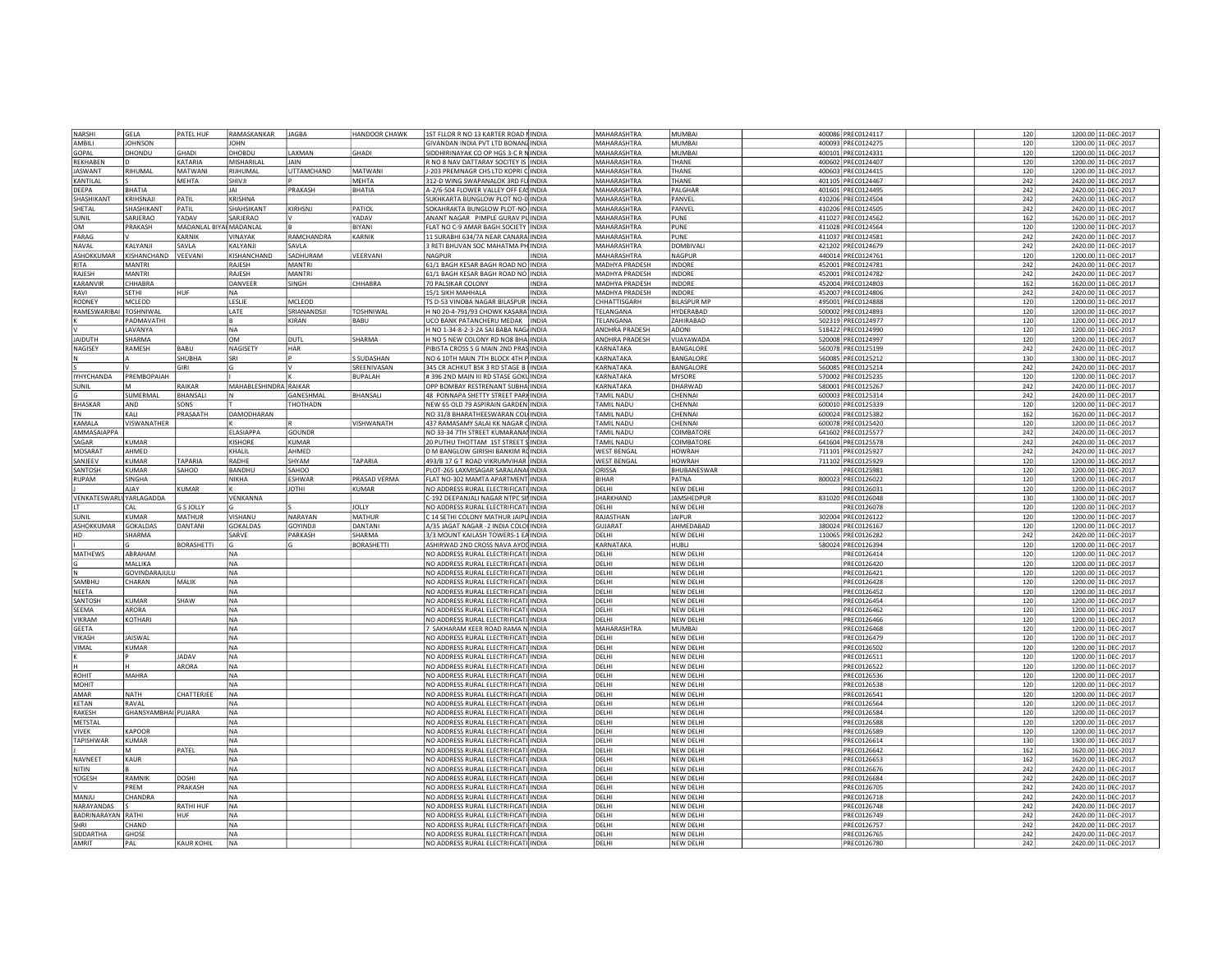| NARSHI                          | GELA                | PATEL HUF               | RAMASKANKAR           | <b>JAGBA</b>      | HANDOOR CHAWK     | 1ST FLLOR R NO 13 KARTER ROAD NINDIA   |              | MAHARASHTRA          | MUMBAI             | 400086 PREC0124117 | 120 | 1200.00 11-DEC-2017 |
|---------------------------------|---------------------|-------------------------|-----------------------|-------------------|-------------------|----------------------------------------|--------------|----------------------|--------------------|--------------------|-----|---------------------|
| AMBILI                          | <b>JOHNSON</b>      |                         | <b>JOHN</b>           |                   |                   | GIVANDAN INDIA PVT LTD BONANZ INDIA    |              | MAHARASHTRA          | MUMBAI             | 400093 PREC0124275 | 120 | 1200.00 11-DEC-2017 |
|                                 |                     |                         |                       |                   |                   |                                        |              |                      |                    |                    |     |                     |
| GOPAL                           | DHONDU              | GHADI                   | <b>DHOBDL</b>         | LAXMAN            | <b>GHADI</b>      | SIDDHIRINAYAK CO OP HGS 3-C R N INDIA  |              | MAHARASHTRA          | MUMBAI             | 400101 PREC0124331 | 120 | 1200.00 11-DEC-2017 |
| REKHAREN                        | D                   | KATARIA                 | <b>MISHARILA</b>      | JAIN              |                   | R NO 8 NAV DATTARAY SOCITEY IS INDIA   |              | <b>MAHARASHTRA</b>   | THANF              | 400602 PREC0124407 | 120 | 1200.00 11-DEC-2017 |
| <b>JASWANT</b>                  | RIHUMAL             | <b>MATWANI</b>          | RIIHUMAI              | <b>UTTAMCHAND</b> | MATWANI           | J-203 PREMNAGR CHS LTD KOPRI C INDIA   |              | MAHARASHTRA          | THANE              | 400603 PREC0124415 | 120 | 1200.00 11-DEC-2017 |
| KANTILAL                        |                     | MEHTA                   | SHIVJI                |                   | MEHTA             | 312-D WING SWAPANALOK 3RD FLI INDIA    |              | MAHARASHTRA          | THANE              | 401105 PREC0124467 | 242 | 2420.00 11-DEC-2017 |
| DEEPA                           | BHATIA              |                         | JAI                   | PRAKASH           | BHATIA            | A-2/6-504 FLOWER VALLEY OFF EAS INDIA  |              | MAHARASHTRA          | PALGHAR            | 401601 PREC0124495 | 242 | 2420.00 11-DEC-2017 |
|                                 |                     |                         |                       |                   |                   |                                        |              |                      |                    |                    |     |                     |
| SHASHIKANT                      | KRIHSNAJI           | PATIL                   | KRISHNA               |                   |                   | SUKHKARTA BUNGLOW PLOT NO-0 INDIA      |              | <b>MAHARASHTRA</b>   | PANVEL             | 410206 PREC0124504 | 242 | 2420.00 11-DEC-2017 |
| SHETAL                          | SHASHIKANT          | PATIL                   | SHAHSIKANT            | KIRHSNJ           | PATIOL            | SOKAHRAKTA BUNGLOW PLOT-NO- INDIA      |              | MAHARASHTRA          | PANVEL             | 410206 PREC0124505 | 242 | 2420.00 11-DEC-2017 |
| SUNIL                           | SARJERAO            | YADAV                   | SARJERAO              |                   | YADAV             | ANANT NAGAR PIMPLE GURAV PL INDIA      |              | MAHARASHTRA          | PUNE               | 411027 PREC0124562 | 162 | 1620.00 11-DEC-2017 |
| <b>OM</b>                       | PRAKASH             | MADANLAL BIYAI MADANLAL |                       |                   | BIYANI            | FLAT NO C-9 AMAR BAGH SOCIETY INDIA    |              | MAHARASHTRA          | PUNE               | 411028 PREC0124564 | 120 | 1200.00 11-DEC-2017 |
|                                 |                     |                         |                       |                   |                   |                                        |              |                      |                    |                    |     |                     |
| PARAG                           |                     | KARNIK                  | VINAYAK               | RAMCHANDRA        | KARNIK            | 11 SURABHI 634/7A NEAR CANARA INDIA    |              | MAHARASHTRA          | PUNE               | 411037 PREC0124581 | 242 | 2420.00 11-DEC-2017 |
| NAVAI                           | KALYANJI            | SAVI A                  | KAIYANI               | SAVLA             |                   | 3 RETI BHUVAN SOC MAHATMA PH INDIA     |              | MAHARASHTRA          | DOMBIVALL          | 421202 PREC0124679 | 242 | 2420.00 11-DEC-2017 |
| ASHOKKUMAR                      | KISHANCHAND         | VEEVANI                 | KISHANCHAND           | SADHURAM          | VEERVANI          | NAGPUR                                 | <b>INDIA</b> | MAHARASHTRA          | NAGPUR             | 440014 PREC0124761 | 120 | 1200.00 11-DEC-2017 |
| RITA                            | MANTRI              |                         | RAJESH                | MANTRI            |                   | 61/1 BAGH KESAR BAGH ROAD NO           | INDIA        | MADHYA PRADESH       | INDORE             | 452001 PREC0124781 | 242 | 2420.00 11-DEC-2017 |
|                                 |                     |                         |                       |                   |                   |                                        |              |                      |                    |                    |     |                     |
| RAJESH                          | <b>MANTR</b>        |                         | RAJESH                | MANTR             |                   | 61/1 BAGH KESAR BAGH ROAD NO           | <b>INDIA</b> | MADHYA PRADESH       | INDORE             | 452001 PREC0124782 | 242 | 2420.00 11-DEC-2017 |
| KARANVIR                        | CHHABRA             |                         | DANVEER               | SINGH             | CHHABRA           | 70 PALSIKAR COLONY                     | INDIA        | MADHYA PRADESH       | <b>INDORE</b>      | 452004 PREC0124803 | 162 | 1620.00 11-DEC-2017 |
| RAVI                            | SETHI               | HUF                     | <b>NA</b>             |                   |                   | 15/1 SIKH MAHHALA                      | <b>INDIA</b> | MADHYA PRADESH       | INDORE             | 452007 PREC0124806 | 242 | 2420.00 11-DEC-2017 |
| <b>RODNEY</b>                   | MCLEOD              |                         | LESLIE                | MCLEOD            |                   | TS D-53 VINOBA NAGAR BILASPUR          | <b>INDIA</b> | CHHATTISGARH         | <b>BILASPUR MF</b> | 495001 PREC0124888 | 120 | 1200.00 11-DEC-2017 |
|                                 |                     |                         |                       |                   |                   |                                        |              |                      |                    |                    |     |                     |
| RAMESWARIBAI TOSHNIWAI          |                     |                         | LATE                  | SRIANANDSJI       | <b>TOSHNIWAL</b>  | H NO 20-4-791/93 CHOWK KASARA          | <b>INDIA</b> | TELANGANA            | HYDERABAD          | 500002 PREC0124893 | 120 | 1200.00 11-DEC-2017 |
|                                 | PADMAVATHI          |                         |                       | KIRAN             | BABU              | <b>UCO BANK PATANCHERU MEDAK</b>       | <b>INDIA</b> | <b>TFI ANGANA</b>    | ZAHIRABAD          | 502319 PREC0124977 | 120 | 1200.00 11-DEC-2017 |
|                                 | LAVANYA             |                         | <b>NA</b>             |                   |                   | 1 NO 1-34-8-2-3-2A SAI BABA NAG/INDIA  |              | ANDHRA PRADESH       | ADONI              | 518422 PREC0124990 | 120 | 1200.00 11-DEC-2017 |
| <b>JAIDUTH</b>                  | SHARMA              |                         | <b>OM</b>             | DUTL              | SHARMA            | H NO 5 NEW COLONY RD NO8 BHA INDIA     |              | <b>NDHRA PRADESH</b> | VIJAYAWADA         | 520008 PREC0124997 | 120 | 1200.00 11-DEC-2017 |
|                                 |                     |                         |                       |                   |                   |                                        |              |                      |                    |                    |     |                     |
| NAGISEY                         | RAMESH              | <b>BABU</b>             | NAGISETY              | HAR               |                   | PIBISTA CROSS S G MAIN 2ND PRAS INDIA  |              | KARNATAKA            | BANGALORE          | 560078 PREC0125199 | 242 | 2420.00 11-DEC-2017 |
|                                 |                     | SHUBHA                  | SRI                   |                   | S SUDASHAN        | NO 6 10TH MAIN 7TH BLOCK 4TH P INDIA   |              | KARNATAKA            | BANGALORE          | 560085 PREC0125212 | 130 | 1300.00 11-DEC-2017 |
|                                 |                     | GIRI                    | G.                    |                   | SREENIVASAN       | 345 CR ACHKUT BSK 3 RD STAGE B   INDIA |              | KARNATAKA            | BANGALORE          | 560085 PREC0125214 | 242 | 2420.00 11-DEC-2017 |
| <b>IYHYCHANDA</b>               | PREMBOPAIAH         |                         |                       |                   | <b>BUPALAH</b>    | #396 2ND MAIN III RD STASE GOKLINDIA   |              | KARNATAKA            | MYSORE             | 570002 PREC0125235 | 120 | 1200.00 11-DEC-2017 |
|                                 | M                   | RAIKAR                  |                       |                   |                   |                                        |              | KARNATAKA            |                    |                    |     |                     |
| SUNIL                           |                     |                         | MAHABLESHINDRA RAIKAR |                   |                   | OPP BOMBAY RESTRENANT SUBHA INDIA      |              |                      | DHARWAD            | 580001 PREC0125267 | 242 | 2420.00 11-DEC-2017 |
|                                 | <b>SUMFRMAL</b>     | <b>BHANSALL</b>         |                       | <b>GANESHMAI</b>  | <b>BHANSALI</b>   | 48 PONNAPA SHETTY STREET PARKINDIA     |              | TAMIL NADU           | CHENNAL            | 600003 PREC0125314 | 242 | 2420.00 11-DEC-2017 |
| <b>BHASKAR</b>                  | AND                 | SONS                    |                       | THOTHADN          |                   | NEW 65 OLD 79 ASPIRAIN GARDEN INDIA    |              | TAMIL NADU           | CHENNAI            | 600010 PREC0125339 | 120 | 1200.00 11-DEC-2017 |
| TN                              | KAI I               | PRASAATH                | DAMODHARAN            |                   |                   | NO 31/8 BHARATHEESWARAN COL INDIA      |              | TAMIL NADU           | CHENNAI            | 600024 PREC0125382 | 162 | 1620.00 11-DEC-2017 |
| KAMALA                          | VISWANATHER         |                         |                       |                   | VISHWANATH        |                                        |              |                      | CHENNAI            |                    |     |                     |
|                                 |                     |                         |                       |                   |                   | 437 RAMASAMY SALAI KK NAGAR C INDIA    |              | TAMIL NADU           |                    | 600078 PREC0125420 | 120 | 1200.00 11-DEC-2017 |
| AMMASAIAPPA                     |                     |                         | <b>ELASIAPPA</b>      | GOUNDR            |                   | NO 33-34 7TH STREET KUMARANAI INDIA    |              | TAMIL NADU           | COIMBATORE         | 641602 PREC0125577 | 242 | 2420.00 11-DEC-2017 |
| SAGAR                           | <b>KUMAR</b>        |                         | <b>KISHORE</b>        | KUMAR             |                   | 20 PUTHU THOTTAM 1ST STREET S INDIA    |              | TAMIL NADU           | COIMBATORE         | 641604 PREC0125578 | 242 | 2420.00 11-DEC-2017 |
| <b>MOSARAT</b>                  | AHMED               |                         | KHALIL                | AHMED             |                   | D M BANGLOW GIRISHI BANKIM RC INDIA    |              | <b>WEST BENGAL</b>   | <b>HOWRAH</b>      | 711101 PREC0125927 | 242 | 2420.00 11-DEC-2017 |
|                                 | KUMAR               | TAPARIA                 | RADHE                 | SHYAM             | TAPARIA           |                                        |              | <b>WEST BENGAL</b>   | <b>HOWRAH</b>      |                    |     |                     |
| SANJEEV                         |                     |                         |                       |                   |                   | 493/B 17 G T ROAD VIKRUMVIHAR INDIA    |              |                      |                    | 711102 PREC0125929 | 120 | 1200.00 11-DEC-2017 |
| SANTOSH                         | KUMAR               | SAHOO                   | <b>BANDHU</b>         | SAHOO             |                   | PLOT-265 LAXMISAGAR SARALANA INDIA     |              | ORISSA               | BHUBANESWAR        | PRFC0125981        | 120 | 1200.00 11-DEC-2017 |
| RUPAM                           | SINGHA              |                         | <b>NIKHA</b>          | ESHWAR            | PRASAD VERMA      | FLAT NO-302 MAMTA APARTMENT INDIA      |              | BIHAR                | PATNA              | 800023 PREC0126022 | 120 | 1200.00 11-DEC-2017 |
|                                 |                     |                         |                       |                   |                   |                                        |              |                      |                    |                    |     |                     |
|                                 |                     |                         |                       |                   |                   |                                        |              |                      |                    |                    |     |                     |
|                                 | AJAY                | KUMAR                   |                       | <b>IHTOL</b>      | KUMAR             | NO ADDRESS RURAL ELECTRIFICATI INDIA   |              | DELHI                | NEW DELHI          | PREC0126031        | 120 | 1200.00 11-DEC-2017 |
| <b>VENKATESWARLI YARLAGADDA</b> |                     |                         | VENKANNA              |                   |                   | C-192 DEEPANJALI NAGAR NTPC SII INDIA  |              | <b>JHARKHAND</b>     | JAMSHEDPUR         | 831020 PREC0126048 | 130 | 1300.00 11-DEC-2017 |
| IT                              | CAL                 | <b>G S JOLLY</b>        |                       |                   | <b>JOLLY</b>      | NO ADDRESS RURAL ELECTRIFICATI INDIA   |              | DELHI                | NEW DELHI          | PREC0126078        | 120 | 1200.00 11-DEC-2017 |
|                                 | KUMAR               |                         | VISHANU               | NARAYAN           |                   |                                        |              |                      | <b>JAIPUR</b>      |                    |     |                     |
| SUNIL                           |                     | MATHUR                  |                       |                   | MATHUR            | C 14 SETHI COLONY MATHUR JAIPU INDIA   |              | RAJASTHAN            |                    | 302004 PREC0126122 | 120 | 1200.00 11-DEC-2017 |
| ASHOKKUMAR                      | GOKALDAS            | DANTANI                 | <b>GOKALDAS</b>       | GOYINDJI          | DANTANI           | A/35 JAGAT NAGAR -2 INDIA COLOI INDIA  |              | <b>GUJARAT</b>       | AHMFDABAD          | 380024 PREC0126167 | 120 | 1200.00 11-DEC-2017 |
| HD                              | SHARMA              |                         | SARVE                 | PARKASH           | SHARMA            | 3/3 MOUNT KAILASH TOWERS-1 EA INDIA    |              | DELHI                | NEW DELHI          | 110065 PREC0126282 | 242 | 2420.00 11-DEC-2017 |
|                                 |                     | <b>BORASHETTI</b>       | G.                    |                   | <b>BORASHETTI</b> | ASHIRWAD 2ND CROSS NAVA AYOL INDIA     |              | KARNATAKA            | <b>HUBII</b>       | 580024 PREC0126394 | 120 | 1200.00 11-DEC-2017 |
| MATHEWS                         | ABRAHAM             |                         | <b>NA</b>             |                   |                   | NO ADDRESS RURAL ELECTRIFICATI INDIA   |              | DELHI                | NEW DELHI          | PREC0126414        | 120 | 1200.00 11-DEC-2017 |
|                                 |                     |                         |                       |                   |                   |                                        |              |                      |                    |                    |     |                     |
|                                 | MALLIKA             |                         | <b>NA</b>             |                   |                   | NO ADDRESS RURAL ELECTRIFICATI INDIA   |              | DELHI                | NEW DELHI          | PREC0126420        | 120 | 1200.00 11-DEC-2017 |
|                                 | GOVINDARAJULU       |                         | NA                    |                   |                   | NO ADDRESS RURAL ELECTRIFICATI INDIA   |              | DELHI                | NEW DELHI          | PREC0126421        | 120 | 1200.00 11-DEC-2017 |
| SAMBHU                          | CHARAN              | MALIK                   | <b>NA</b>             |                   |                   | NO ADDRESS RURAL ELECTRIFICATI INDIA   |              | DELHI                | NEW DELHI          | PREC0126428        | 120 | 1200.00 11-DEC-2017 |
| NEETA                           |                     |                         | NA                    |                   |                   | NO ADDRESS RURAL ELECTRIFICATI INDIA   |              | DELHI                | NEW DELHI          | PREC0126452        | 120 | 1200.00 11-DEC-2017 |
| SANTOSH                         | KIIMAR              | SHAW                    |                       |                   |                   |                                        |              | DELHI                | NEW DELHI          |                    |     |                     |
|                                 |                     |                         | <b>NA</b>             |                   |                   | NO ADDRESS RURAL ELECTRIFICATI INDIA   |              |                      |                    | PREC0126454        | 120 | 1200.00 11-DEC-2017 |
| SFFMA                           | ARORA               |                         | <b>NA</b>             |                   |                   | NO ADDRESS RURAL ELECTRIFICATI INDIA   |              | DELHI                | NEW DELHI          | PREC0126462        | 120 | 1200.00 11-DEC-2017 |
| VIKRAM                          | KOTHARI             |                         | <b>NA</b>             |                   |                   | NO ADDRESS RURAL FLECTRIFICATI INDIA   |              | DFI HI               | NFW DFI HI         | PRFC0126466        | 120 | 1200.00 11-DEC-2017 |
| GEETA                           |                     |                         | <b>NA</b>             |                   |                   | SAKHARAM KEER ROAD RAMA N              | <b>INDIA</b> | MAHARASHTRA          | MUMBAI             | PREC0126468        | 120 | 1200.00 11-DEC-2017 |
| VIKASH                          | <b>JAISWAL</b>      |                         | <b>NA</b>             |                   |                   | NO ADDRESS RURAL ELECTRIFICATI         | INDIA        | DELHI                | NEW DELHI          | PREC0126479        | 120 | 1200.00 11-DEC-2017 |
| VIMAL                           | KUMAR               |                         | <b>NA</b>             |                   |                   |                                        |              | DELHI                | NEW DELHI          |                    |     |                     |
|                                 |                     |                         |                       |                   |                   | NO ADDRESS RURAL ELECTRIFICATI INDIA   |              |                      |                    | PREC0126502        | 120 | 1200.00 11-DEC-2017 |
|                                 |                     | <b>JADAV</b>            | <b>NA</b>             |                   |                   | NO ADDRESS RURAL ELECTRIFICATI         | INDIA        | DELHI                | NEW DELHI          | PREC0126511        | 120 | 1200.00 11-DEC-2017 |
|                                 |                     | <b>ARORA</b>            | <b>NA</b>             |                   |                   | NO ADDRESS RURAL ELECTRIFICAT          | INDIA        | DELHI                | NEW DELHI          | PREC0126522        | 120 | 1200.00 11-DEC-2017 |
| ROHIT                           | <b>MAHRA</b>        |                         | <b>NA</b>             |                   |                   | NO ADDRESS RURAL ELECTRIFICATI         | <b>INDIA</b> | DELHI                | NEW DELHI          | PREC0126536        | 120 | 1200.00 11-DEC-2017 |
| MOHIT                           |                     |                         | <b>NA</b>             |                   |                   | NO ADDRESS RURAL ELECTRIFICATI INDIA   |              | DELHI                | NEW DELHI          | PREC0126538        | 120 |                     |
| AMAR                            |                     |                         |                       |                   |                   | NO ADDRESS RURAL FLECTRIFICATI INDIA   |              | DELHI                | <b>NFW DFI HI</b>  | <b>PRFC0126541</b> | 120 | 1200.00 11-DEC-2017 |
|                                 | <b>NATH</b>         | CHATTERJEE              | <b>NA</b>             |                   |                   |                                        |              |                      |                    |                    |     | 1200.00 11-DEC-2017 |
| KETAN                           | RAVAI               |                         | <b>NA</b>             |                   |                   | NO ADDRESS RURAL ELECTRIFICATI INDIA   |              | DELHI                | NEW DELHI          | PREC0126564        | 120 | 1200.00 11-DEC-2017 |
| RAKESH                          | GHANSYAMBHAI PUJARA |                         | <b>NA</b>             |                   |                   | NO ADDRESS RURAL ELECTRIFICATI INDIA   |              | DELHI                | NEW DELHI          | <b>PRECO126584</b> | 120 | 1200.00 11-DEC-2017 |
| METSTAL                         |                     |                         | NA                    |                   |                   | NO ADDRESS RURAL ELECTRIFICATI INDIA   |              | DELHI                | NEW DELHI          | <b>PREC0126588</b> | 120 | 1200.00 11-DEC-2017 |
|                                 |                     |                         |                       |                   |                   |                                        |              |                      |                    |                    |     |                     |
| <b>VIVEK</b>                    | <b>KAPOOF</b>       |                         | <b>NA</b>             |                   |                   | NO ADDRESS RURAL ELECTRIFICATI INDIA   |              | DELHI                | NEW DELHI          | PREC0126589        | 120 | 1200.00 11-DEC-2017 |
| TAPISHWAR                       | <b>KUMAR</b>        |                         | NA                    |                   |                   | NO ADDRESS RURAL ELECTRIFICATI INDIA   |              | DELHI                | NEW DELHI          | PREC0126614        | 130 | 1300.00 11-DEC-2017 |
|                                 | м                   | PATEL                   | NA                    |                   |                   | NO ADDRESS RURAL ELECTRIFICATI INDIA   |              | DELHI                | NEW DELHI          | PREC0126642        | 162 | 1620.00 11-DEC-2017 |
| NAVNEET                         | <b>KAUR</b>         |                         | <b>NA</b>             |                   |                   |                                        |              | DELHI                | NEW DELHI          | PREC0126653        | 162 | 1620.00 11-DEC-2017 |
| <b>NITIN</b>                    |                     |                         | <b>NA</b>             |                   |                   | NO ADDRESS RURAL ELECTRIFICATI INDIA   |              | DELHI                | NFW DFI HI         | PREC0126676        |     |                     |
|                                 |                     |                         |                       |                   |                   | NO ADDRESS RURAL ELECTRIFICATI INDIA   |              |                      |                    |                    | 242 | 2420.00 11-DEC-2017 |
| YOGESH                          | RAMNIK              | <b>DOSHI</b>            | <b>NA</b>             |                   |                   | NO ADDRESS RURAL ELECTRIFICATI INDIA   |              | DELHI                | NEW DELHI          | PREC0126684        | 242 | 2420.00 11-DEC-2017 |
|                                 | PRFM                | PRAKASH                 | <b>NA</b>             |                   |                   | NO ADDRESS RURAL ELECTRIFICATI INDIA   |              | DELHI                | NEW DELHI          | PREC0126705        | 242 | 2420.00 11-DEC-2017 |
| MANJU                           | CHANDRA             |                         | <b>NA</b>             |                   |                   | NO ADDRESS RURAL ELECTRIFICATI INDIA   |              | DELHI                | NEW DELHI          | PREC0126718        | 242 | 2420.00 11-DEC-2017 |
| NARAYANDAS                      |                     | <b>RATHI HUF</b>        | NA.                   |                   |                   | NO ADDRESS RURAL ELECTRIFICATI INDIA   |              | DELHI                | NEW DELHI          | PREC0126748        | 242 | 2420.00 11-DEC-2017 |
|                                 |                     |                         |                       |                   |                   |                                        |              |                      |                    |                    |     |                     |
| BADRINARAYAN RATHI              |                     | HUF                     | NA                    |                   |                   | NO ADDRESS RURAL ELECTRIFICATI INDIA   |              | DELHI                | NEW DELHI          | PREC0126749        | 242 | 2420.00 11-DEC-2017 |
| SHRI                            | CHAND               |                         | <b>NA</b>             |                   |                   | NO ADDRESS RURAL ELECTRIFICATI INDIA   |              | DELHI                | NEW DELH           | <b>PREC0126757</b> | 242 | 2420.00 11-DEC-2017 |
| SIDDARTHA                       | GHOSE               |                         | <b>NA</b>             |                   |                   | NO ADDRESS RURAL ELECTRIFICATI INDIA   |              | DELHI                | NEW DELHI          | <b>PREC0126765</b> | 242 | 2420.00 11-DEC-2017 |
| AMRIT                           | PAL                 | <b>KAUR KOHIL</b>       | <b>NA</b>             |                   |                   | NO ADDRESS RURAL ELECTRIFICATI INDIA   |              | DELHI                | NEW DELHI          | PREC0126780        | 242 | 2420.00 11-DEC-2017 |